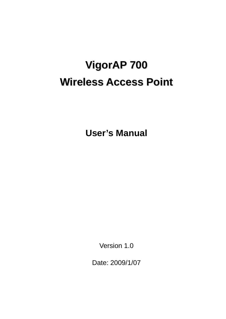## **VigorAP 700 Wireless Access Point**

**User's Manual** 

Version 1.0

Date: 2009/1/07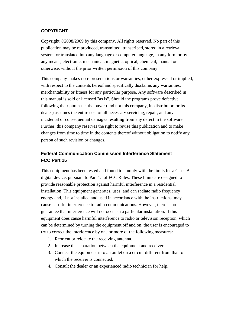#### **COPYRIGHT**

Copyright ©2008/2009 by this company. All rights reserved. No part of this publication may be reproduced, transmitted, transcribed, stored in a retrieval system, or translated into any language or computer language, in any form or by any means, electronic, mechanical, magnetic, optical, chemical, manual or otherwise, without the prior written permission of this company

This company makes no representations or warranties, either expressed or implied, with respect to the contents hereof and specifically disclaims any warranties, merchantability or fitness for any particular purpose. Any software described in this manual is sold or licensed "as is". Should the programs prove defective following their purchase, the buyer (and not this company, its distributor, or its dealer) assumes the entire cost of all necessary servicing, repair, and any incidental or consequential damages resulting from any defect in the software. Further, this company reserves the right to revise this publication and to make changes from time to time in the contents thereof without obligation to notify any person of such revision or changes.

#### **Federal Communication Commission Interference Statement FCC Part 15**

This equipment has been tested and found to comply with the limits for a Class B digital device, pursuant to Part 15 of FCC Rules. These limits are designed to provide reasonable protection against harmful interference in a residential installation. This equipment generates, uses, and can radiate radio frequency energy and, if not installed and used in accordance with the instructions, may cause harmful interference to radio communications. However, there is no guarantee that interference will not occur in a particular installation. If this equipment does cause harmful interference to radio or television reception, which can be determined by turning the equipment off and on, the user is encouraged to try to correct the interference by one or more of the following measures:

- 1. Reorient or relocate the receiving antenna.
- 2. Increase the separation between the equipment and receiver.
- 3. Connect the equipment into an outlet on a circuit different from that to which the receiver is connected.
- 4. Consult the dealer or an experienced radio technician for help.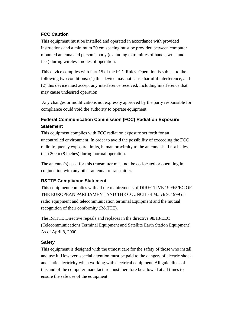#### **FCC Caution**

This equipment must be installed and operated in accordance with provided instructions and a minimum 20 cm spacing must be provided between computer mounted antenna and person's body (excluding extremities of hands, wrist and feet) during wireless modes of operation.

This device complies with Part 15 of the FCC Rules. Operation is subject to the following two conditions: (1) this device may not cause harmful interference, and (2) this device must accept any interference received, including interference that may cause undesired operation.

 Any changes or modifications not expressly approved by the party responsible for compliance could void the authority to operate equipment.

#### **Federal Communication Commission (FCC) Radiation Exposure Statement**

This equipment complies with FCC radiation exposure set forth for an uncontrolled environment. In order to avoid the possibility of exceeding the FCC radio frequency exposure limits, human proximity to the antenna shall not be less than 20cm (8 inches) during normal operation.

The antenna(s) used for this transmitter must not be co-located or operating in conjunction with any other antenna or transmitter.

#### **R&TTE Compliance Statement**

This equipment complies with all the requirements of DIRECTIVE 1999/5/EC OF THE EUROPEAN PARLIAMENT AND THE COUNCIL of March 9, 1999 on radio equipment and telecommunication terminal Equipment and the mutual recognition of their conformity (R&TTE).

The R&TTE Directive repeals and replaces in the directive 98/13/EEC (Telecommunications Terminal Equipment and Satellite Earth Station Equipment) As of April 8, 2000.

#### **Safety**

This equipment is designed with the utmost care for the safety of those who install and use it. However, special attention must be paid to the dangers of electric shock and static electricity when working with electrical equipment. All guidelines of this and of the computer manufacture must therefore be allowed at all times to ensure the safe use of the equipment.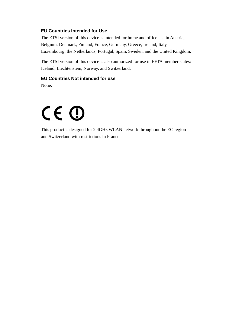#### **EU Countries Intended for Use**

The ETSI version of this device is intended for home and office use in Austria, Belgium, Denmark, Finland, France, Germany, Greece, Ireland, Italy, Luxembourg, the Netherlands, Portugal, Spain, Sweden, and the United Kingdom.

The ETSI version of this device is also authorized for use in EFTA member states: Iceland, Liechtenstein, Norway, and Switzerland.

#### **EU Countries Not intended for use**

None.

# CE ®

This product is designed for 2.4GHz WLAN network throughout the EC region and Switzerland with restrictions in France..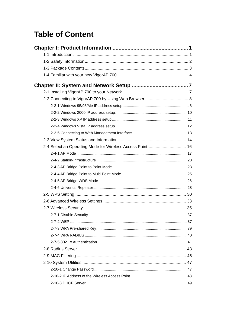## **Table of Content**

| 2-4 Select an Operating Mode for Wireless Access Point 16 |  |
|-----------------------------------------------------------|--|
|                                                           |  |
|                                                           |  |
|                                                           |  |
|                                                           |  |
|                                                           |  |
|                                                           |  |
|                                                           |  |
|                                                           |  |
|                                                           |  |
|                                                           |  |
|                                                           |  |
|                                                           |  |
|                                                           |  |
|                                                           |  |
|                                                           |  |
|                                                           |  |
|                                                           |  |
|                                                           |  |
|                                                           |  |
|                                                           |  |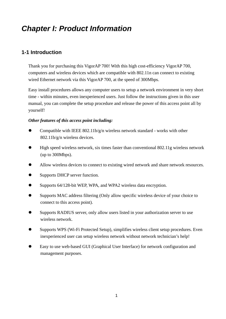## *Chapter I: Product Information*

#### **1-1 Introduction**

Thank you for purchasing this VigorAP 700! With this high cost-efficiency VigorAP 700, computers and wireless devices which are compatible with 802.11n can connect to existing wired Ethernet network via this VigorAP 700, at the speed of 300Mbps.

Easy install procedures allows any computer users to setup a network environment in very short time - within minutes, even inexperienced users. Just follow the instructions given in this user manual, you can complete the setup procedure and release the power of this access point all by yourself!

#### *Other features of this access point including:*

- Compatible with IEEE 802.11b/g/n wireless network standard works with other 802.11b/g/n wireless devices.
- High speed wireless network, six times faster than conventional 802.11g wireless network (up to 300Mbps).
- Allow wireless devices to connect to existing wired network and share network resources.
- Supports DHCP server function.
- Supports 64/128-bit WEP, WPA, and WPA2 wireless data encryption.
- Supports MAC address filtering (Only allow specific wireless device of your choice to connect to this access point).
- Supports RADIUS server, only allow users listed in your authorization server to use wireless network.
- Supports WPS (Wi-Fi Protected Setup), simplifies wireless client setup procedures. Even inexperienced user can setup wireless network without network technician's help!
- Easy to use web-based GUI (Graphical User Interface) for network configuration and management purposes.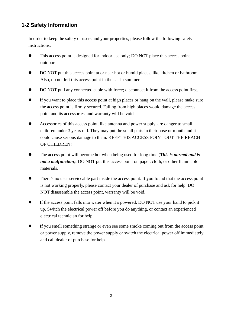#### **1-2 Safety Information**

In order to keep the safety of users and your properties, please follow the following safety instructions:

- This access point is designed for indoor use only; DO NOT place this access point outdoor.
- DO NOT put this access point at or near hot or humid places, like kitchen or bathroom. Also, do not left this access point in the car in summer.
- DO NOT pull any connected cable with force; disconnect it from the access point first.
- If you want to place this access point at high places or hang on the wall, please make sure the access point is firmly secured. Falling from high places would damage the access point and its accessories, and warranty will be void.
- Accessories of this access point, like antenna and power supply, are danger to small children under 3 years old. They may put the small parts in their nose or month and it could cause serious damage to them. KEEP THIS ACCESS POINT OUT THE REACH OF CHILDREN!
- The access point will become hot when being used for long time (*This is normal and is not a malfunction*). DO NOT put this access point on paper, cloth, or other flammable materials.
- There's no user-serviceable part inside the access point. If you found that the access point is not working properly, please contact your dealer of purchase and ask for help. DO NOT disassemble the access point, warranty will be void.
- If the access point falls into water when it's powered, DO NOT use your hand to pick it up. Switch the electrical power off before you do anything, or contact an experienced electrical technician for help.
- If you smell something strange or even see some smoke coming out from the access point or power supply, remove the power supply or switch the electrical power off immediately, and call dealer of purchase for help.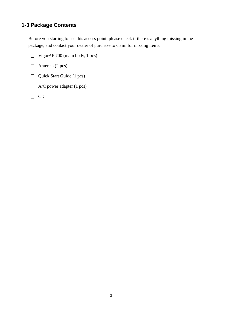#### **1-3 Package Contents**

Before you starting to use this access point, please check if there's anything missing in the package, and contact your dealer of purchase to claim for missing items:

- $\Box$  VigorAP 700 (main body, 1 pcs)
- $\Box$  Antenna (2 pcs)
- □ Quick Start Guide (1 pcs)
- $\Box$  A/C power adapter (1 pcs)
- □ CD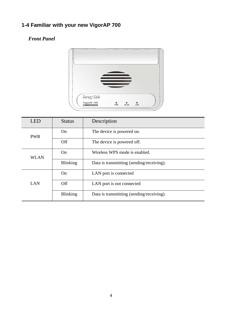### **1-4 Familiar with your new VigorAP 700**

#### *Front Panel*



| <b>LED</b>  | <b>Status</b>   | Description                               |
|-------------|-----------------|-------------------------------------------|
| <b>PWR</b>  | On              | The device is powered on.                 |
|             | Off             | The device is powered off.                |
| <b>WLAN</b> | <b>On</b>       | Wireless WPS mode is enabled.             |
|             | <b>Blinking</b> | Data is transmitting (sending/receiving). |
|             | <b>On</b>       | LAN port is connected                     |
| LAN         | Off             | LAN port is not connected                 |
|             | <b>Blinking</b> | Data is transmitting (sending/receiving). |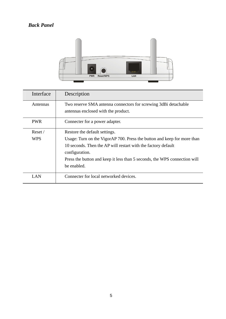#### *Back Panel*



| Interface             | Description                                                                                                                                                                                                                                                                             |
|-----------------------|-----------------------------------------------------------------------------------------------------------------------------------------------------------------------------------------------------------------------------------------------------------------------------------------|
| Antennas              | Two reserve SMA antenna connectors for screwing 3dBi detachable<br>antennas enclosed with the product.                                                                                                                                                                                  |
| <b>PWR</b>            | Connecter for a power adapter.                                                                                                                                                                                                                                                          |
| Reset /<br><b>WPS</b> | Restore the default settings.<br>Usage: Turn on the VigorAP 700. Press the button and keep for more than<br>10 seconds. Then the AP will restart with the factory default<br>configuration.<br>Press the button and keep it less than 5 seconds, the WPS connection will<br>be enabled. |
| LAN                   | Connecter for local networked devices.                                                                                                                                                                                                                                                  |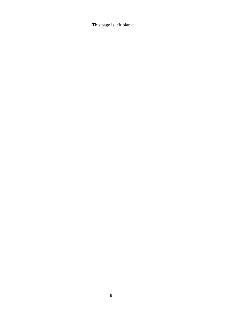This page is left blank.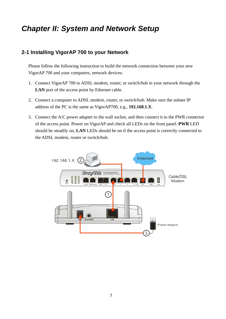## *Chapter II: System and Network Setup*

#### **2-1 Installing VigorAP 700 to your Network**

Please follow the following instruction to build the network connection between your new VigorAP 700 and your computers, network devices:

- 1. Connect VigorAP 700 to ADSL modem, router, or switch/hub in your network through the LAN port of the access point by Ethernet cable.
- 2. Connect a computer to ADSL modem, router, or switch/hub. Make sure the subnet IP address of the PC is the same as VigorAP700, e.g., **192.168.1.X**.
- 3. Connect the A/C power adapter to the wall socket, and then connect it to the PWR connector of the access point. Power on VigorAP and check all LEDs on the front panel. **PWR** LED should be steadily on, **LAN** LEDs should be on if the access point is correctly connected to the ADSL modem, router or switch/hub.

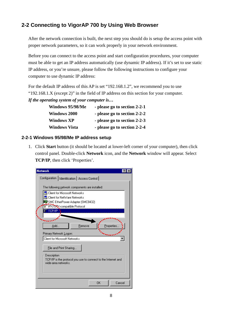#### **2-2 Connecting to VigorAP 700 by Using Web Browser**

After the network connection is built, the next step you should do is setup the access point with proper network parameters, so it can work properly in your network environment.

Before you can connect to the access point and start configuration procedures, your computer must be able to get an IP address automatically (use dynamic IP address). If it's set to use static IP address, or you're unsure, please follow the following instructions to configure your computer to use dynamic IP address:

For the default IP address of this AP is set "192.168.1.2", we recommend you to use "192.168.1.X (except 2)" in the field of IP address on this section for your computer.

*If the operating system of your computer is…*

| Windows 95/98/Me     | - please go to section 2-2-1 |
|----------------------|------------------------------|
| <b>Windows 2000</b>  | - please go to section 2-2-2 |
| <b>Windows XP</b>    | - please go to section 2-2-3 |
| <b>Windows Vista</b> | - please go to section 2-2-4 |

#### **2-2-1 Windows 95/98/Me IP address setup**

1. Click **Start** button (it should be located at lower-left corner of your computer), then click control panel. Double-click **Network** icon, and the **Network** window will appear. Select **TCP/IP**, then click 'Properties'.

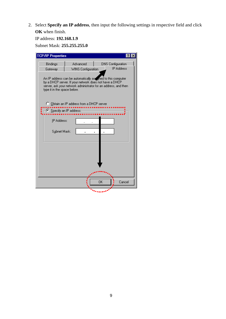2. Select **Specify an IP address**, then input the following settings in respective field and click **OK** when finish.

IP address: **192.168.1.9**

Subnet Mask: **255.255.255.0**

| <b>TCP/IP Properties</b> |                                                                                                                                                                                                                         |                                               |  |  |
|--------------------------|-------------------------------------------------------------------------------------------------------------------------------------------------------------------------------------------------------------------------|-----------------------------------------------|--|--|
| Bindings<br>Gateway      | Advanced<br><b>WINS</b> Configuration                                                                                                                                                                                   | <b>DNS</b> Configuration<br><b>IP Address</b> |  |  |
|                          | An IP address can be automatically as ghed to this computer<br>by a DHCP server. If your network does not have a DHCP<br>server, ask your network administrator for an address, and then<br>type it in the space below. |                                               |  |  |
| Specify an IP address:   | C Obtain an IP address from a DHCP server                                                                                                                                                                               |                                               |  |  |
| IP Address:              |                                                                                                                                                                                                                         |                                               |  |  |
| Subnet Mask:             |                                                                                                                                                                                                                         |                                               |  |  |
|                          |                                                                                                                                                                                                                         |                                               |  |  |
|                          |                                                                                                                                                                                                                         |                                               |  |  |
|                          |                                                                                                                                                                                                                         |                                               |  |  |
|                          | 0K<br>Cancel                                                                                                                                                                                                            |                                               |  |  |
|                          |                                                                                                                                                                                                                         |                                               |  |  |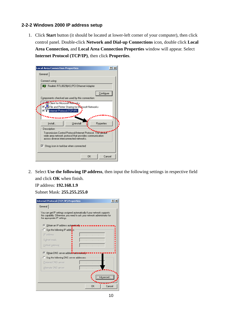#### **2-2-2 Windows 2000 IP address setup**

1. Click **Start** button (it should be located at lower-left corner of your computer), then click control panel. Double-click **Network and Dial-up Connections** icon, double click **Local Area Connection***,* and **Local Area Connection Properties** window will appear. Select **Internet Protocol (TCP/IP)**, then click **Properties**.

| <b>Local Area Connection Properties</b>                                                                                                                          | 2x                      |  |
|------------------------------------------------------------------------------------------------------------------------------------------------------------------|-------------------------|--|
| General                                                                                                                                                          |                         |  |
| Connect using:                                                                                                                                                   |                         |  |
| ■ Realtek RTL8029(AS) PCI Ethernet Adapter                                                                                                                       |                         |  |
|                                                                                                                                                                  | Configure               |  |
| Components checked are used by this connection:                                                                                                                  |                         |  |
| <b>SHET</b> Client for Microsoft Networks                                                                                                                        |                         |  |
| ☑ 및 File and Printer Sharing for Microsoft Networks                                                                                                              |                         |  |
| ◘ Tinternet Protocol (TCP/IP)                                                                                                                                    |                         |  |
|                                                                                                                                                                  |                         |  |
|                                                                                                                                                                  |                         |  |
| Install                                                                                                                                                          | Uninstall<br>Properties |  |
| Description                                                                                                                                                      |                         |  |
| Transmission Control Protocol/Internet Protocol. The defaul<br>wide area network protocol that provides communication<br>across diverse interconnected networks. |                         |  |
|                                                                                                                                                                  |                         |  |
| ■ Show icon in taskbar when connected                                                                                                                            |                         |  |
|                                                                                                                                                                  |                         |  |
|                                                                                                                                                                  | OK<br>Cancel            |  |

2. Select **Use the following IP address**, then input the following settings in respective field and click **OK** when finish.

IP address: **192.168.1.9**

Subnet Mask: **255.255.255.0**

| <b>Internet Protocol (TCP/IP) Properties</b>      |                                                                                                                                                        |
|---------------------------------------------------|--------------------------------------------------------------------------------------------------------------------------------------------------------|
| General                                           |                                                                                                                                                        |
| the appropriate IP settings.                      | You can get IP settings assigned automatically if your network supports.<br>this capability. Otherwise, you need to ask your network administrator for |
| <b>C</b> Obtain an IP address automatically = = : |                                                                                                                                                        |
| Use the following IP address:                     |                                                                                                                                                        |
| IP address:                                       |                                                                                                                                                        |
| Subnet mask:                                      |                                                                                                                                                        |
| Default gateway:                                  |                                                                                                                                                        |
| Obtain DNS server address eatenrationly .<br>G.   |                                                                                                                                                        |
| ◯ Use the following DNS server addresses:         |                                                                                                                                                        |
| Preferred DNS server:                             |                                                                                                                                                        |
| Alternate DNS server:                             |                                                                                                                                                        |
|                                                   |                                                                                                                                                        |
|                                                   |                                                                                                                                                        |
|                                                   | ΟK<br>Cancel                                                                                                                                           |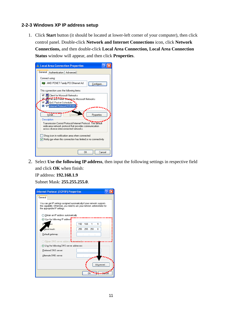#### **2-2-3 Windows XP IP address setup**

1. Click **Start** button (it should be located at lower-left corner of your computer), then click control panel. Double-click **Network and Internet Connections** icon, click **Network Connections,** and then double-click **Local Area Connection, Local Area Connection Status** window will appear, and then click **Properties**.



2. Select **Use the following IP address**, then input the following settings in respective field and click **OK** when finish:

IP address: **192.168.1.9** Subnet Mask: **255.255.255.0**.

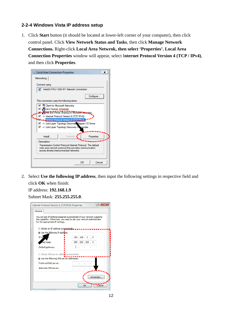#### **2-2-4 Windows Vista IP address setup**

1. Click **Start** button (it should be located at lower-left corner of your computer), then click control panel. Click **View Network Status and Tasks**, then click **Manage Network Connections.** Right-click **Local Area Netwrok, then select 'Properties'. Local Area Connection Properties** window will appear, select I**nternet Protocol Version 4 (TCP / IPv4)**, and then click **Properties**.

| Local Area Connection Properties<br>×                                                                                                                                                                                                                                                                                                                                        |  |  |
|------------------------------------------------------------------------------------------------------------------------------------------------------------------------------------------------------------------------------------------------------------------------------------------------------------------------------------------------------------------------------|--|--|
| Networking                                                                                                                                                                                                                                                                                                                                                                   |  |  |
| Connect using:                                                                                                                                                                                                                                                                                                                                                               |  |  |
| Intel(R) PRO/1000 MT Network Connection                                                                                                                                                                                                                                                                                                                                      |  |  |
| Configure                                                                                                                                                                                                                                                                                                                                                                    |  |  |
| This connection uses the following items:                                                                                                                                                                                                                                                                                                                                    |  |  |
| □ <sup>□</sup> Client for Microsoft Networks<br>□ ■ QoS Packet Scheduler<br><b>M</b> 图 File and Printer Sharing for Microsoft Networks<br>Internet Protocol Version 6 (TCP/IPv6)<br><b>14 - Algiernet Protocol Version 4 (TCP/IPv4)</b><br>L Link-Layer Topology Discovery Mapper I/O Driver<br>Link-Laver Topology Discovery Reponder<br>Install<br>Uninstall<br>Properties |  |  |
| Description<br>Transmission Control Protocol/Internet Protocol The default<br>wide area network protocol that provides communication<br>across diverse interconnected networks.                                                                                                                                                                                              |  |  |
| OK<br>Cancel                                                                                                                                                                                                                                                                                                                                                                 |  |  |

2. Select **Use the following IP address**, then input the following settings in respective field and click **OK** when finish:

IP address: **192.168.1.9** Subnet Mask: **255.255.255.0**.

| General                                          |                                                                                                                                                   |
|--------------------------------------------------|---------------------------------------------------------------------------------------------------------------------------------------------------|
| for the appropriate IP settings.                 | You can get IP settings assigned automatically if your network supports<br>this capability. Otherwise, you need to ask your network administrator |
| Obtain an IP address automatically,              |                                                                                                                                                   |
| O Use the following IP address:                  |                                                                                                                                                   |
| IP ad                                            | 192.168.1.9                                                                                                                                       |
| met mask:                                        | 255.255.255.0                                                                                                                                     |
| Default gateway:                                 |                                                                                                                                                   |
| Obtain DNS server address automatically          |                                                                                                                                                   |
| <b>O</b> Use the following DNS server addresses: |                                                                                                                                                   |
| Preferred DNS server:                            |                                                                                                                                                   |
| Alternate DNS server:                            |                                                                                                                                                   |
|                                                  | Advanced                                                                                                                                          |
|                                                  |                                                                                                                                                   |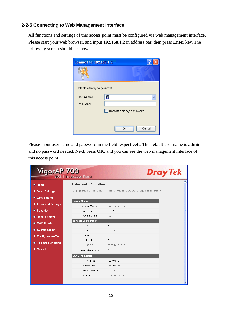#### **2-2-5 Connecting to Web Management Interface**

All functions and settings of this access point must be configured via web management interface. Please start your web browser, and input **192.168.1.2** in address bar, then press **Enter** key. The following screen should be shown:

| <b>Connect to 192.168.1.2</b> |                      |
|-------------------------------|----------------------|
|                               |                      |
| Default: admin, no password   |                      |
| User name:                    | ß                    |
| Password:                     |                      |
|                               | Remember my password |
|                               |                      |
|                               | Cancel<br>OK         |

Please input user name and password in the field respectively. The default user name is **admin** and no password needed. Next, press **OK**, and you can see the web management interface of this access point:

| VigorAP 700             |                                       | <b>Dray</b> Tek                                                                          |
|-------------------------|---------------------------------------|------------------------------------------------------------------------------------------|
| • Home                  | <b>Status and Information</b>         |                                                                                          |
| <b>• Basic Settings</b> |                                       | This page shows System Status, Wireless Configuration and LAN Configuration information. |
| ● WPS Setting           |                                       |                                                                                          |
| Advanced Settings       | <b>System Status</b><br>System Uptime | 4day:4h:10m:11s                                                                          |
| • Security              | Hardware Version                      | Rev. A                                                                                   |
| Radius Server           | Firmware Version                      | 1.01                                                                                     |
| • MAC Filtering         | <b>Wireless Configuration</b>         |                                                                                          |
| System Utility          | Mode<br>SSID                          | AP<br>DrayTek                                                                            |
| Configuration Tool      | Channel Number                        | 11                                                                                       |
| <b>Eirmware Upgrade</b> | Security                              | Disable                                                                                  |
|                         | <b>BSSID</b>                          | 00:50:7f:37:97:20                                                                        |
| • Restart               | <b>Associated Clients</b>             | $\Box$                                                                                   |
|                         | <b>LAN Configuration</b>              |                                                                                          |
|                         | IP Address                            | 192.168.1.2                                                                              |
|                         | Subnet Mask                           | 255.255.255.0                                                                            |
|                         | Default Gateway                       | 0.0.0.0                                                                                  |
|                         | MAC Address                           | 00:50:7f:37:97:20                                                                        |
|                         |                                       |                                                                                          |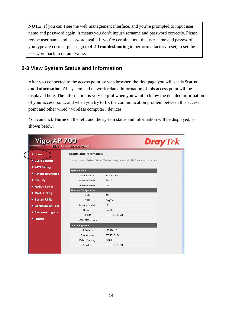**NOTE:** If you can't see the web management interface, and you're prompted to input user name and password again, it means you don't input username and password correctly. Please retype user name and password again. If you're certain about the user name and password you type are correct, please go to **4-2 Troubleshooting** to perform a factory reset, to set the password back to default value.

#### **2-3 View System Status and Information**

After you connected to the access point by web browser, the first page you will see is **Status and Information**. All system and network related information of this access point will be displayed here. The information is very helpful when you want to know the detailed information of your access point, and when you try to fix the communication problem between this access point and other wired / wireless computer / devices.

You can click **Home** on the left, and the system status and information will be displayed, as shown below:

|                    | <b>igorAP 700</b>                 | <b>Dray</b> Tek                                                                          |  |
|--------------------|-----------------------------------|------------------------------------------------------------------------------------------|--|
| <b>Home</b>        | <b>Status and Information</b>     |                                                                                          |  |
|                    |                                   | This page shows System Status, Wireless Configuration and LAN Configuration information. |  |
| ● WPS Setting      |                                   |                                                                                          |  |
| Advanced Settings  | <b>System Status</b>              |                                                                                          |  |
| • Security         | System Uptime<br>Hardware Version | 4day:4h:10m:11s<br>Rev. A                                                                |  |
|                    | Firmware Version                  | 1.01                                                                                     |  |
| • Radius Server    | <b>Wireless Configuration</b>     |                                                                                          |  |
| • MAC Filtering    | Mode                              | AP                                                                                       |  |
| System Utility     | SSID                              | DrayTek                                                                                  |  |
| Configuration Tool | Channel Number                    | 11                                                                                       |  |
| ● Firmware Upgrade | Security                          | Disable                                                                                  |  |
| • Restart          | <b>BSSID</b>                      | 00:50:7f:37:97:20                                                                        |  |
|                    | <b>Associated Clients</b>         | $\mathbb O$                                                                              |  |
|                    | <b>LAN Configuration</b>          |                                                                                          |  |
|                    | IP Address                        | 192.168.1.2                                                                              |  |
|                    | Subnet Mask<br>Default Gateway    | 255.255.255.0<br>0.0.0.0                                                                 |  |
|                    | MAC Address                       | 00:50:7f:37:97:20                                                                        |  |
|                    |                                   |                                                                                          |  |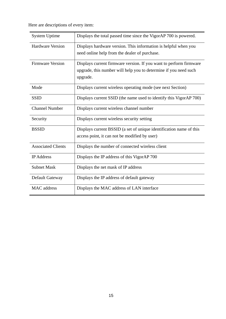| <b>System Uptime</b>      | Displays the total passed time since the VigorAP 700 is powered.                                                                                   |
|---------------------------|----------------------------------------------------------------------------------------------------------------------------------------------------|
| <b>Hardware Version</b>   | Displays hardware version. This information is helpful when you<br>need online help from the dealer of purchase.                                   |
| <b>Firmware Version</b>   | Displays current firmware version. If you want to perform firmware<br>upgrade, this number will help you to determine if you need such<br>upgrade. |
| Mode                      | Displays current wireless operating mode (see next Section)                                                                                        |
| <b>SSID</b>               | Displays current SSID (the name used to identify this VigorAP 700)                                                                                 |
| <b>Channel Number</b>     | Displays current wireless channel number                                                                                                           |
| Security                  | Displays current wireless security setting                                                                                                         |
| <b>BSSID</b>              | Displays current BSSID (a set of unique identification name of this<br>access point, it can not be modified by user)                               |
| <b>Associated Clients</b> | Displays the number of connected wireless client                                                                                                   |
| <b>IP Address</b>         | Displays the IP address of this VigorAP 700                                                                                                        |
| <b>Subnet Mask</b>        | Displays the net mask of IP address                                                                                                                |
| Default Gateway           | Displays the IP address of default gateway                                                                                                         |
| <b>MAC</b> address        | Displays the MAC address of LAN interface                                                                                                          |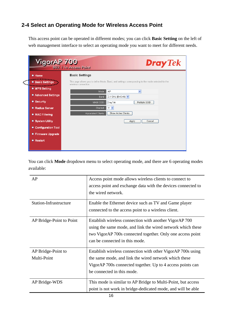#### **2-4 Select an Operating Mode for Wireless Access Point**

This access point can be operated in different modes; you can click **Basic Setting** on the left of web management interface to select an operating mode you want to meet for different needs.

| VigorAP 700             | <b>Dray</b> Tek                                                                                                            |
|-------------------------|----------------------------------------------------------------------------------------------------------------------------|
| • Home                  | <b>Basic Settings</b>                                                                                                      |
| <b>• Basic Settings</b> | This page allows you to define Mode, Band, and settings corresponding to the mode selected for the<br>wireless connection. |
| ● WPS Setting           | Mode:<br>AP<br>$\checkmark$                                                                                                |
| • Advanced Settings     | 2.4 GHz (B+G+N) v<br>Band:                                                                                                 |
| • Security              | Multiple SSID<br>MAIN SSID:<br>DrayTek                                                                                     |
| • Radius Server         | Channel:<br>$11 \times$                                                                                                    |
| • MAC Filtering         | Show Active Clients<br>Associated Clients:                                                                                 |
| • System Utility        | Cancel<br>Apply                                                                                                            |
| Configuration Tool      |                                                                                                                            |
| • Firmware Upgrade      |                                                                                                                            |
| • Restart               |                                                                                                                            |
|                         |                                                                                                                            |

You can click **Mode** dropdown menu to select operating mode, and there are 6 operating modes available:

| AP                       | Access point mode allows wireless clients to connect to      |  |
|--------------------------|--------------------------------------------------------------|--|
|                          | access point and exchange data with the devices connected to |  |
|                          | the wired network.                                           |  |
| Station-Infrastructure   | Enable the Ethernet device such as TV and Game player        |  |
|                          | connected to the access point to a wireless client.          |  |
| AP Bridge-Point to Point | Establish wireless connection with another VigorAP 700       |  |
|                          | using the same mode, and link the wired network which these  |  |
|                          | two VigorAP 700s connected together. Only one access point   |  |
|                          | can be connected in this mode.                               |  |
| AP Bridge-Point to       | Establish wireless connection with other VigorAP 700s using  |  |
| Multi-Point              | the same mode, and link the wired network which these        |  |
|                          | VigorAP 700s connected together. Up to 4 access points can   |  |
|                          | be connected in this mode.                                   |  |
| AP Bridge-WDS            | This mode is similar to AP Bridge to Multi-Point, but access |  |
|                          | point is not work in bridge-dedicated mode, and will be able |  |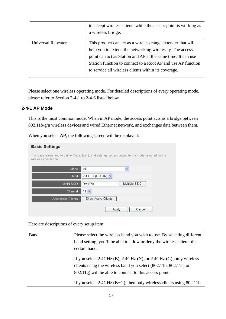|                    | to accept wireless clients while the access point is working as<br>a wireless bridge.                                                                                                                                                                                                                           |
|--------------------|-----------------------------------------------------------------------------------------------------------------------------------------------------------------------------------------------------------------------------------------------------------------------------------------------------------------|
| Universal Repeater | This product can act as a wireless range extender that will<br>help you to extend the networking wirelessly. The access<br>point can act as Station and AP at the same time. It can use<br>Station function to connect to a Root AP and use AP function<br>to service all wireless clients within its coverage. |

Please select one wireless operating mode. For detailed descriptions of every operating mode, please refer to Section 2-4-1 to 2-4-6 listed below.

#### **2-4-1 AP Mode**

This is the most common mode. When in AP mode, the access point acts as a bridge between 802.11b/g/n wireless devices and wired Ethernet network, and exchanges data between them.

When you select **AP**, the following screen will be displayed:

| <b>Basic Settings</b>                                                                                                      |  |
|----------------------------------------------------------------------------------------------------------------------------|--|
| This page allows you to define Mode, Band, and settings corresponding to the mode selected for the<br>wireless connection. |  |
| Mode:<br>AP<br>v                                                                                                           |  |
| 2.4 GHz (B+G+N)   v<br>Band:                                                                                               |  |
| Multiple SSID<br>MAIN SSID:<br>DrayTek                                                                                     |  |
| Channel:<br>$11 \times$                                                                                                    |  |
| Show Active Clients<br>Associated Clients :                                                                                |  |
| Cancel<br>Apply                                                                                                            |  |

| Band | Please select the wireless band you wish to use. By selecting different                                                                                                                                                     |
|------|-----------------------------------------------------------------------------------------------------------------------------------------------------------------------------------------------------------------------------|
|      | band setting, you'll be able to allow or deny the wireless client of a                                                                                                                                                      |
|      | certain band.                                                                                                                                                                                                               |
|      | If you select $2.4\text{GHz}$ (B), $2.4\text{GHz}$ (N), or $2.4\text{GHz}$ (G), only wireless<br>clients using the wireless band you select (802.11b, 802.11n, or<br>802.11g) will be able to connect to this access point. |
|      | If you select $2.4\text{GHz}$ (B+G), then only wireless clients using 802.11b                                                                                                                                               |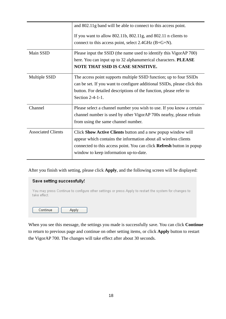|                           | and 802.11g band will be able to connect to this access point.<br>If you want to allow $802.11b$ , $802.11g$ , and $802.11$ n clients to<br>connect to this access point, select 2.4GHz (B+G+N).                                                           |
|---------------------------|------------------------------------------------------------------------------------------------------------------------------------------------------------------------------------------------------------------------------------------------------------|
| Main SSID                 | Please input the SSID (the name used to identify this VigorAP 700)<br>here. You can input up to 32 alphanumerical characters. PLEASE<br>NOTE THAT SSID IS CASE SENSITIVE.                                                                                  |
| Multiple SSID             | The access point supports multiple SSID function; up to four SSIDs<br>can be set. If you want to configure additional SSIDs, please click this<br>button. For detailed descriptions of the function, please refer to<br>Section 2-4-1-1.                   |
| Channel                   | Please select a channel number you wish to use. If you know a certain<br>channel number is used by other VigorAP 700s nearby, please refrain<br>from using the same channel number.                                                                        |
| <b>Associated Clients</b> | Click <b>Show Active Clients</b> button and a new popup window will<br>appear which contains the information about all wireless clients<br>connected to this access point. You can click Refresh button in popup<br>window to keep information up-to-date. |

| Save setting successfully!                                                                                             |
|------------------------------------------------------------------------------------------------------------------------|
| You may press Continue to configure other settings or press Apply to restart the system for changes to<br>take effect. |
| Continue<br>Apply                                                                                                      |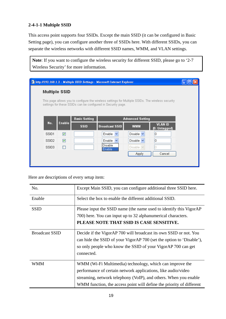#### **2-4-1-1 Multiple SSID**

This access point supports four SSIDs. Except the main SSID (it can be configured in Basic Setting page), you can configure another three of SSIDs here. With different SSIDs, you can separate the wireless networks with different SSID names, WMM, and VLAN settings.

**Note**: If you want to configure the wireless security for different SSID, please go to '2-7 Wireless Security' for more information.

| http://192.168.1.2 - Multiple SSID Settings - Microsoft Internet Explorer |                      |                      |                                                                                                                                                                   |                          |                                 |  |
|---------------------------------------------------------------------------|----------------------|----------------------|-------------------------------------------------------------------------------------------------------------------------------------------------------------------|--------------------------|---------------------------------|--|
|                                                                           | <b>Multiple SSID</b> |                      |                                                                                                                                                                   |                          |                                 |  |
|                                                                           |                      |                      | This page allows you to configure the wireless settings for Multiple SSIDs. The wireless security<br>settings for these SSIDs can be configured in Security page. |                          |                                 |  |
|                                                                           |                      | <b>Basic Setting</b> |                                                                                                                                                                   | <b>Advanced Setting</b>  |                                 |  |
| No.                                                                       | <b>Enable</b>        | <b>SSID</b>          | <b>Broadcast SSID</b>                                                                                                                                             | <b>WMM</b>               | <b>VLAN ID</b><br>(0: Untagged) |  |
| SSID1                                                                     | ☑                    |                      | Enable                                                                                                                                                            | Disable $\vee$           | 10                              |  |
| SSID <sub>2</sub>                                                         | ☑                    |                      | Enable                                                                                                                                                            | Disable $\vee$           | I٥                              |  |
| SSID3                                                                     | П                    |                      | Disable<br>Enable                                                                                                                                                 | <b>Disable</b><br>$\sim$ | IГ                              |  |
|                                                                           |                      |                      |                                                                                                                                                                   | Apply                    | Cancel                          |  |
|                                                                           |                      |                      |                                                                                                                                                                   |                          |                                 |  |

| No.                   | Except Main SSID, you can configure additional three SSID here.                                                                                                                                                                                                       |
|-----------------------|-----------------------------------------------------------------------------------------------------------------------------------------------------------------------------------------------------------------------------------------------------------------------|
| Enable                | Select the box to enable the different additional SSID.                                                                                                                                                                                                               |
| <b>SSID</b>           | Please input the SSID name (the name used to identify this VigorAP<br>700) here. You can input up to 32 alphanumerical characters.<br>PLEASE NOTE THAT SSID IS CASE SENSITIVE.                                                                                        |
| <b>Broadcast SSID</b> | Decide if the VigorAP 700 will broadcast its own SSID or not. You<br>can hide the SSID of your VigorAP 700 (set the option to 'Disable'),<br>so only people who know the SSID of your Vigor <sub>AP</sub> 700 can get<br>connected.                                   |
| <b>WMM</b>            | WMM (Wi-Fi Multimedia) technology, which can improve the<br>performance of certain network applications, like audio/video<br>streaming, network telephony (VoIP), and others. When you enable<br>WMM function, the access point will define the priority of different |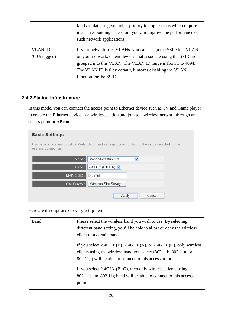|              | kinds of data, to give higher priority to applications which require<br>instant responding. Therefore you can improve the performance of                                                                                |  |  |
|--------------|-------------------------------------------------------------------------------------------------------------------------------------------------------------------------------------------------------------------------|--|--|
|              | such network applications.                                                                                                                                                                                              |  |  |
| VLAN ID      | If your network uses VLANs, you can assign the SSID to a VLAN                                                                                                                                                           |  |  |
| (0:Untagged) | on your network. Client devices that associate using the SSID are<br>grouped into this VLAN. The VLAN ID range is from 1 to 4094.<br>The VLAN ID is 0 by default, it means disabling the VLAN<br>function for the SSID. |  |  |

#### **2-4-2 Station-Infrastructure**

In this mode, you can connect the access point to Ethernet device such as TV and Game player to enable the Ethernet device as a wireless station and join to a wireless network through an access point or AP router.

| <b>Basic Settings</b> |                                                                                                    |
|-----------------------|----------------------------------------------------------------------------------------------------|
| wireless connection.  | This page allows you to define Mode, Band, and settings corresponding to the mode selected for the |
| Mode:                 | Station-Infrastructure<br>×                                                                        |
| Band:                 | 2.4 GHz (B+G+N) $\vee$                                                                             |
| MAIN SSID:            | <b>DrayTek</b>                                                                                     |
| Site Survey:          | Wireless Site Survey                                                                               |
|                       | Cancel<br><b>Apply</b>                                                                             |

| Band | Please select the wireless band you wish to use. By selecting         |  |
|------|-----------------------------------------------------------------------|--|
|      | different band setting, you'll be able to allow or deny the wireless  |  |
|      | client of a certain band.                                             |  |
|      | If you select 2.4GHz (B), 2.4GHz (N), or 2.4GHz (G), only wireless    |  |
|      | clients using the wireless band you select (802.11b, 802.11n, or      |  |
|      | 802.11g) will be able to connect to this access point.                |  |
|      | If you select $2.4\text{GHz}$ (B+G), then only wireless clients using |  |
|      | 802.11b and 802.11g band will be able to connect to this access       |  |
|      | point.                                                                |  |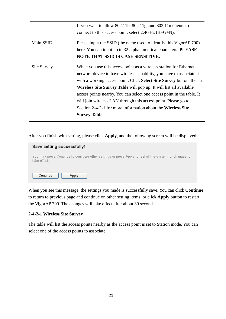|                    | If you want to allow $802.11b$ , $802.11g$ , and $802.11n$ clients to<br>connect to this access point, select $2.4\text{GHz}$ (B+G+N).                                                                                                                                                                                                                                                                                                                                                                                                    |
|--------------------|-------------------------------------------------------------------------------------------------------------------------------------------------------------------------------------------------------------------------------------------------------------------------------------------------------------------------------------------------------------------------------------------------------------------------------------------------------------------------------------------------------------------------------------------|
| Main SSID          | Please input the SSID (the name used to identify this VigorAP 700)<br>here. You can input up to 32 alphanumerical characters. <b>PLEASE</b><br>NOTE THAT SSID IS CASE SENSITIVE.                                                                                                                                                                                                                                                                                                                                                          |
| <b>Site Survey</b> | When you use this access point as a wireless station for Ethernet<br>network device to have wireless capability, you have to associate it<br>with a working access point. Click <b>Select Site Survey</b> button, then a<br><b>Wireless Site Survey Table</b> will pop up. It will list all available<br>access points nearby. You can select one access point in the table. It<br>will join wireless LAN through this access point. Please go to<br>Section 2-4-2-1 for more information about the Wireless Site<br><b>Survey Table.</b> |

| Save setting successfully!                                                                                             |  |
|------------------------------------------------------------------------------------------------------------------------|--|
| You may press Continue to configure other settings or press Apply to restart the system for changes to<br>take effect. |  |
| Continue<br>Apply                                                                                                      |  |

When you see this message, the settings you made is successfully save. You can click **Continue** to return to previous page and continue on other setting items, or click **Apply** button to restart the VigorAP 700. The changes will take effect after about 30 seconds.

#### **2-4-2-1 Wireless Site Survey**

The table will list the access points nearby as the access point is set to Station mode. You can select one of the access points to associate.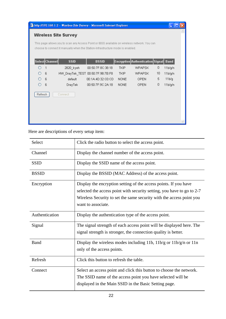| e1      |                             | http://192.168.1.2 - Wireless Site Survey - Microsoft Internet Explorer                                                                                                        |                   |             |                                       |    |                   |  |
|---------|-----------------------------|--------------------------------------------------------------------------------------------------------------------------------------------------------------------------------|-------------------|-------------|---------------------------------------|----|-------------------|--|
|         | <b>Wireless Site Survey</b> |                                                                                                                                                                                |                   |             |                                       |    |                   |  |
|         |                             | This page allows you to scan any Access Point or IBSS available on wireless network. You can<br>choose to connect it manually when the Station-Infrastructure mode is enabled. |                   |             |                                       |    |                   |  |
|         | Select Channel              | <b>SSID</b>                                                                                                                                                                    | <b>BSSID</b>      |             | Encryption Authentication Signal Band |    |                   |  |
|         |                             | 2820_kyeh                                                                                                                                                                      | 00:50:7F:8C:38:18 | <b>TKIP</b> | <b>WPAPSK</b>                         | 0  | 11b/g/n           |  |
|         | 6                           | HW_DrayTek_TEST_00:50:7F:98:7B:F8                                                                                                                                              |                   | TKIP        | <b>WPAPSK</b>                         | 10 | 11b/g/n           |  |
|         | 6                           | default                                                                                                                                                                        | 00:1A:4D:32:C0:CD | <b>NONE</b> | <b>OPEN</b>                           | 5  | 11 <sub>b/g</sub> |  |
|         | 6                           | DrayTek                                                                                                                                                                        | 00:50:7F:9C:2A:18 | <b>NONE</b> | OPEN                                  | 0  | 11b/q/n           |  |
| Refresh |                             | Connect                                                                                                                                                                        |                   |             |                                       |    |                   |  |

| Select         | Click the radio button to select the access point.                      |
|----------------|-------------------------------------------------------------------------|
| Channel        | Display the channel number of the access point.                         |
| <b>SSID</b>    | Display the SSID name of the access point.                              |
| <b>BSSID</b>   | Display the BSSID (MAC Address) of the access point.                    |
| Encryption     | Display the encryption setting of the access points. If you have        |
|                | selected the access point with security setting, you have to go to 2-7  |
|                | Wireless Security to set the same security with the access point you    |
|                | want to associate.                                                      |
| Authentication | Display the authentication type of the access point.                    |
| Signal         | The signal strength of each access point will be displayed here. The    |
|                | signal strength is stronger, the connection quality is better.          |
| Band           | Display the wireless modes including 11b, $11b/g$ or $11b/g/n$ or $11n$ |
|                | only of the access points.                                              |
| Refresh        | Click this button to refresh the table.                                 |
| Connect        | Select an access point and click this button to choose the network.     |
|                | The SSID name of the access point you have selected will be             |
|                | displayed in the Main SSID in the Basic Setting page.                   |
|                |                                                                         |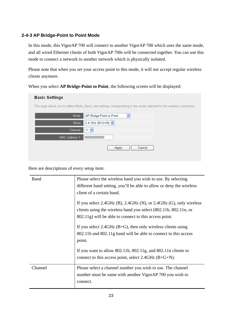#### **2-4-3 AP Bridge-Point to Point Mode**

In this mode, this VigorAP 700 will connect to another VigorAP 700 which uses the same mode, and all wired Ethernet clients of both VigorAP 700s will be connected together. You can use this mode to connect a network to another network which is physically isolated.

Please note that when you set your access point to this mode, it will not accept regular wireless clients anymore.

When you select **AP Bridge-Point to Point**, the following screen will be displayed:

| <b>Basic Settings</b>                                                                                                   |
|-------------------------------------------------------------------------------------------------------------------------|
| This page allows you to define Mode, Band, and settings corresponding to the mode selected for the wireless connection. |
| Mode:<br>AP Bridge-Point to Point<br>$\checkmark$                                                                       |
| 2.4 GHz (B+G+N) v<br>Band:                                                                                              |
| Channel:<br>$11 \times$                                                                                                 |
| MAC address 1 :<br>000000000000                                                                                         |
| Cancel<br><b>Apply</b>                                                                                                  |

| Band    | Please select the wireless band you wish to use. By selecting<br>different band setting, you'll be able to allow or deny the wireless                                          |
|---------|--------------------------------------------------------------------------------------------------------------------------------------------------------------------------------|
|         | client of a certain band.<br>If you select 2.4GHz $(B)$ , 2.4GHz $(N)$ , or 2.4GHz $(G)$ , only wireless<br>clients using the wireless band you select $(802.11b, 802.11n, or$ |
|         | 802.11g) will be able to connect to this access point.<br>If you select $2.4\text{GHz}$ (B+G), then only wireless clients using                                                |
|         | 802.11b and 802.11g band will be able to connect to this access<br>point.                                                                                                      |
|         | If you want to allow $802.11b$ , $802.11g$ , and $802.11n$ clients to<br>connect to this access point, select 2.4GHz $(B+G+N)$ .                                               |
| Channel | Please select a channel number you wish to use. The channel<br>number must be same with another VigorAP 700 you wish to<br>connect.                                            |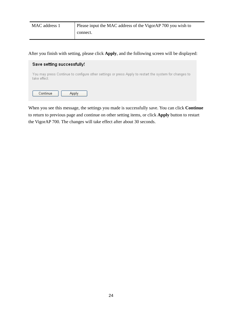MAC address 1 Please input the MAC address of the VigorAP 700 you wish to connect.

After you finish with setting, please click **Apply**, and the following screen will be displayed:

| Save setting successfully!                                                                                             |  |  |
|------------------------------------------------------------------------------------------------------------------------|--|--|
| You may press Continue to configure other settings or press Apply to restart the system for changes to<br>take effect. |  |  |
| Continue<br>Apply                                                                                                      |  |  |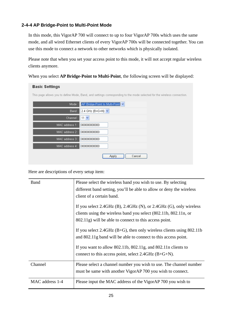#### **2-4-4 AP Bridge-Point to Multi-Point Mode**

In this mode, this VigorAP 700 will connect to up to four VigorAP 700s which uses the same mode, and all wired Ethernet clients of every VigorAP 700s will be connected together. You can use this mode to connect a network to other networks which is physically isolated.

Please note that when you set your access point to this mode, it will not accept regular wireless clients anymore.

When you select **AP Bridge-Point to Multi-Point**, the following screen will be displayed:

| <b>Basic Settings</b>                                                                                                   |
|-------------------------------------------------------------------------------------------------------------------------|
| This page allows you to define Mode, Band, and settings corresponding to the mode selected for the wireless connection. |
| AP Bridge-Point to Multi-Point V<br>Mode:                                                                               |
| 2.4 GHz (B+G+N) v<br>Band:                                                                                              |
| Channel:<br>$11 -$                                                                                                      |
| MAC address 1 :<br>000000000000                                                                                         |
| 000000000000<br>MAC address 2 :                                                                                         |
| MAC address 3 :<br>000000000000                                                                                         |
| MAC address 4 :<br>000000000000                                                                                         |
| Cancel<br>Apply                                                                                                         |

| <b>Band</b>     | Please select the wireless band you wish to use. By selecting<br>different band setting, you'll be able to allow or deny the wireless<br>client of a certain band.                                                          |
|-----------------|-----------------------------------------------------------------------------------------------------------------------------------------------------------------------------------------------------------------------------|
|                 | If you select $2.4\text{GHz}$ (B), $2.4\text{GHz}$ (N), or $2.4\text{GHz}$ (G), only wireless<br>clients using the wireless band you select (802.11b, 802.11n, or<br>802.11g) will be able to connect to this access point. |
|                 | If you select $2.4\text{GHz}$ (B+G), then only wireless clients using 802.11b<br>and 802.11g band will be able to connect to this access point.                                                                             |
|                 | If you want to allow $802.11b$ , $802.11g$ , and $802.11n$ clients to<br>connect to this access point, select $2.4\text{GHz}$ (B+G+N).                                                                                      |
| Channel         | Please select a channel number you wish to use. The channel number<br>must be same with another VigorAP 700 you wish to connect.                                                                                            |
| MAC address 1-4 | Please input the MAC address of the VigorAP 700 you wish to                                                                                                                                                                 |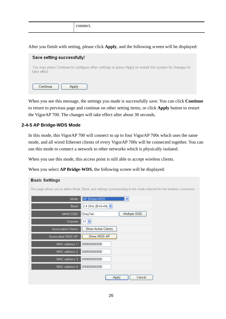connect.

After you finish with setting, please click **Apply**, and the following screen will be displayed:

| Save setting successfully!                                                                                             |  |
|------------------------------------------------------------------------------------------------------------------------|--|
| You may press Continue to configure other settings or press Apply to restart the system for changes to<br>take effect. |  |
| Continue<br>Apply                                                                                                      |  |

When you see this message, the settings you made is successfully save. You can click **Continue** to return to previous page and continue on other setting items, or click **Apply** button to restart the VigorAP 700. The changes will take effect after about 30 seconds.

#### **2-4-5 AP Bridge-WDS Mode**

In this mode, this VigorAP 700 will connect to up to four VigorAP 700s which uses the same mode, and all wired Ethernet clients of every VigorAP 700s will be connected together. You can use this mode to connect a network to other networks which is physically isolated.

When you use this mode, this access point is still able to accept wireless clients.

When you select **AP Bridge-WDS**, the following screen will be displayed:

| <b>Basic Settings</b>                                                                                                   |
|-------------------------------------------------------------------------------------------------------------------------|
| This page allows you to define Mode, Band, and settings corresponding to the mode selected for the wireless connection. |
| AP Bridge-WDS<br>Mode:<br>×                                                                                             |
| 2.4 GHz (B+G+N) V<br>Band:                                                                                              |
| Multiple SSID<br>MAIN SSID:<br>DrayTek                                                                                  |
| Channel:<br>$11 -$                                                                                                      |
| Show Active Clients<br>Associated Clients:                                                                              |
| Show WDS AP<br>Associated WDS AP :                                                                                      |
| MAC address 1 :<br>000000000000                                                                                         |
| MAC address 2 :<br>000000000000                                                                                         |
| MAC address 3 :<br>000000000000                                                                                         |
| MAC address 4 :<br>000000000000                                                                                         |
| Cancel<br>Apply                                                                                                         |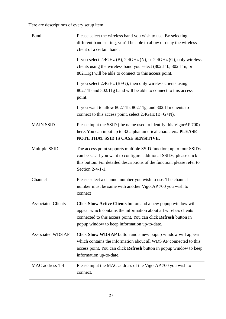| Band                      | Please select the wireless band you wish to use. By selecting<br>different band setting, you'll be able to allow or deny the wireless<br>client of a certain band.<br>If you select 2.4GHz $(B)$ , 2.4GHz $(N)$ , or 2.4GHz $(G)$ , only wireless<br>clients using the wireless band you select (802.11b, 802.11n, or<br>802.11g) will be able to connect to this access point.<br>If you select $2.4\text{GHz}$ (B+G), then only wireless clients using<br>802.11b and 802.11g band will be able to connect to this access<br>point.<br>If you want to allow $802.11b$ , $802.11g$ , and $802.11n$ clients to |
|---------------------------|----------------------------------------------------------------------------------------------------------------------------------------------------------------------------------------------------------------------------------------------------------------------------------------------------------------------------------------------------------------------------------------------------------------------------------------------------------------------------------------------------------------------------------------------------------------------------------------------------------------|
|                           | connect to this access point, select $2.4\text{GHz}$ (B+G+N).                                                                                                                                                                                                                                                                                                                                                                                                                                                                                                                                                  |
| <b>MAIN SSID</b>          | Please input the SSID (the name used to identify this VigorAP 700)<br>here. You can input up to 32 alphanumerical characters. PLEASE<br>NOTE THAT SSID IS CASE SENSITIVE.                                                                                                                                                                                                                                                                                                                                                                                                                                      |
| Multiple SSID             | The access point supports multiple SSID function; up to four SSIDs<br>can be set. If you want to configure additional SSIDs, please click<br>this button. For detailed descriptions of the function, please refer to<br>Section 2-4-1-1.                                                                                                                                                                                                                                                                                                                                                                       |
| Channel                   | Please select a channel number you wish to use. The channel<br>number must be same with another VigorAP 700 you wish to<br>connect                                                                                                                                                                                                                                                                                                                                                                                                                                                                             |
| <b>Associated Clients</b> | Click Show Active Clients button and a new popup window will<br>appear which contains the information about all wireless clients<br>connected to this access point. You can click Refresh button in<br>popup window to keep information up-to-date.                                                                                                                                                                                                                                                                                                                                                            |
| <b>Associated WDS AP</b>  | Click <b>Show WDS AP</b> button and a new popup window will appear<br>which contains the information about all WDS AP connected to this<br>access point. You can click <b>Refresh</b> button in popup window to keep<br>information up-to-date.                                                                                                                                                                                                                                                                                                                                                                |
| MAC address 1-4           | Please input the MAC address of the VigorAP 700 you wish to<br>connect.                                                                                                                                                                                                                                                                                                                                                                                                                                                                                                                                        |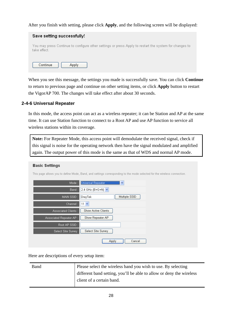| Save setting successfully!                                                                                             |
|------------------------------------------------------------------------------------------------------------------------|
| You may press Continue to configure other settings or press Apply to restart the system for changes to<br>take effect. |
| Continue<br>Apply                                                                                                      |

When you see this message, the settings you made is successfully save. You can click **Continue** to return to previous page and continue on other setting items, or click **Apply** button to restart the VigorAP 700. The changes will take effect after about 30 seconds.

#### **2-4-6 Universal Repeater**

In this mode, the access point can act as a wireless repeater; it can be Station and AP at the same time. It can use Station function to connect to a Root AP and use AP function to service all wireless stations within its coverage.

**Note:** For Repeater Mode, this access point will demodulate the received signal, check if this signal is noise for the operating network then have the signal modulated and amplified again. The output power of this mode is the same as that of WDS and normal AP mode.

#### **Basic Settings**

This page allows you to define Mode, Band, and settings corresponding to the mode selected for the wireless connection.

| Mode:                    | Universal Repeater<br>$\checkmark$ |
|--------------------------|------------------------------------|
| Band:                    | 2.4 GHz (B+G+N) v                  |
| MAIN SSID:               | Multiple SSID<br>DrayTek           |
| Channel:                 | $11 \times$                        |
| Associated Clients:      | Show Active Clients                |
| Associated Repeater AP : | Show Repeater AP                   |
| Root AP SSID:            |                                    |
| Select Site Survey       | Select Site Survey                 |
|                          | Apply<br>Cancel                    |

| Band | Please select the wireless band you wish to use. By selecting        |
|------|----------------------------------------------------------------------|
|      | different band setting, you'll be able to allow or deny the wireless |
|      | client of a certain band.                                            |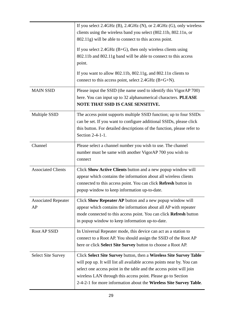|                                  | If you select $2.4\text{GHz}$ (B), $2.4\text{GHz}$ (N), or $2.4\text{GHz}$ (G), only wireless<br>clients using the wireless band you select (802.11b, 802.11n, or<br>802.11g) will be able to connect to this access point.<br>If you select $2.4\text{GHz}$ (B+G), then only wireless clients using<br>802.11b and 802.11g band will be able to connect to this access<br>point.<br>If you want to allow 802.11b, 802.11g, and 802.11n clients to<br>connect to this access point, select $2.4\text{GHz}$ (B+G+N). |
|----------------------------------|---------------------------------------------------------------------------------------------------------------------------------------------------------------------------------------------------------------------------------------------------------------------------------------------------------------------------------------------------------------------------------------------------------------------------------------------------------------------------------------------------------------------|
| <b>MAIN SSID</b>                 | Please input the SSID (the name used to identify this VigorAP 700)<br>here. You can input up to 32 alphanumerical characters. PLEASE<br>NOTE THAT SSID IS CASE SENSITIVE.                                                                                                                                                                                                                                                                                                                                           |
| Multiple SSID                    | The access point supports multiple SSID function; up to four SSIDs<br>can be set. If you want to configure additional SSIDs, please click<br>this button. For detailed descriptions of the function, please refer to<br>Section 2-4-1-1.                                                                                                                                                                                                                                                                            |
| Channel                          | Please select a channel number you wish to use. The channel<br>number must be same with another VigorAP 700 you wish to<br>connect                                                                                                                                                                                                                                                                                                                                                                                  |
| <b>Associated Clients</b>        | Click Show Active Clients button and a new popup window will<br>appear which contains the information about all wireless clients<br>connected to this access point. You can click Refresh button in<br>popup window to keep information up-to-date.                                                                                                                                                                                                                                                                 |
| <b>Associated Repeater</b><br>AP | Click Show Repeater AP button and a new popup window will<br>appear which contains the information about all AP with repeater<br>mode connected to this access point. You can click Refresh button<br>in popup window to keep information up-to-date.                                                                                                                                                                                                                                                               |
| Root AP SSID                     | In Universal Repeater mode, this device can act as a station to<br>connect to a Root AP. You should assign the SSID of the Root AP<br>here or click Select Site Survey button to choose a Root AP.                                                                                                                                                                                                                                                                                                                  |
| <b>Select Site Survey</b>        | Click Select Site Survey button, then a Wireless Site Survey Table<br>will pop up. It will list all available access points near by. You can<br>select one access point in the table and the access point will join<br>wireless LAN through this access point. Please go to Section<br>2-4-2-1 for more information about the Wireless Site Survey Table.                                                                                                                                                           |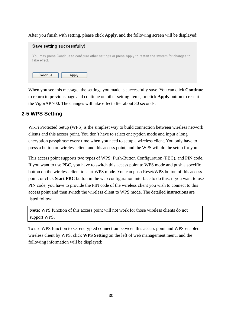| Save setting successfully!                                                                                             |
|------------------------------------------------------------------------------------------------------------------------|
| You may press Continue to configure other settings or press Apply to restart the system for changes to<br>take effect. |
| Continue<br>Apply                                                                                                      |

When you see this message, the settings you made is successfully save. You can click **Continue** to return to previous page and continue on other setting items, or click **Apply** button to restart the VigorAP 700. The changes will take effect after about 30 seconds.

#### **2-5 WPS Setting**

Wi-Fi Protected Setup (WPS) is the simplest way to build connection between wireless network clients and this access point. You don't have to select encryption mode and input a long encryption passphrase every time when you need to setup a wireless client. You only have to press a button on wireless client and this access point, and the WPS will do the setup for you.

This access point supports two types of WPS: Push-Button Configuration (PBC), and PIN code. If you want to use PBC, you have to switch this access point to WPS mode and push a specific button on the wireless client to start WPS mode. You can push Reset/WPS button of this access point, or click **Start PBC** button in the web configuration interface to do this; if you want to use PIN code, you have to provide the PIN code of the wireless client you wish to connect to this access point and then switch the wireless client to WPS mode. The detailed instructions are listed follow:

**Note:** WPS function of this access point will not work for those wireless clients do not support WPS.

To use WPS function to set encrypted connection between this access point and WPS-enabled wireless client by WPS, click **WPS Setting** on the left of web management menu, and the following information will be displayed: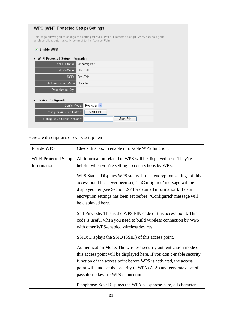| WPS (Wi-Fi Protected Setup) Settings                                                                                                                        |              |
|-------------------------------------------------------------------------------------------------------------------------------------------------------------|--------------|
| This page allows you to change the setting for WPS (Wi-Fi Protected Setup). WPS can help your<br>wireless client automatically connect to the Access Point. |              |
| <b>Enable WPS</b><br>M                                                                                                                                      |              |
| Wi-Fi Protected Setup Information                                                                                                                           |              |
| WPS Status:                                                                                                                                                 | Unconfigured |
| Self PinCode:                                                                                                                                               | 36431687     |
| SSID:                                                                                                                                                       | DrayTek      |
| Authentication Mode:                                                                                                                                        | Disable      |
| Passphrase Key:                                                                                                                                             |              |
| <b>Device Configuration</b>                                                                                                                                 |              |
| Config Mode:                                                                                                                                                | Registrar V  |
| Configure via Push Button:                                                                                                                                  | Start PBC    |
| Configure via Client PinCode:                                                                                                                               | Start PIN    |

| Enable WPS            | Check this box to enable or disable WPS function.                      |
|-----------------------|------------------------------------------------------------------------|
| Wi-Fi Protected Setup | All information related to WPS will be displayed here. They're         |
| Information           | helpful when you're setting up connections by WPS.                     |
|                       | WPS Status: Displays WPS status. If data encryption settings of this   |
|                       | access point has never been set, 'unConfigured' message will be        |
|                       | displayed her (see Section 2-7 for detailed information); if data      |
|                       | encryption settings has been set before, 'Configured' message will     |
|                       | be displayed here.                                                     |
|                       | Self PinCode: This is the WPS PIN code of this access point. This      |
|                       | code is useful when you need to build wireless connection by WPS       |
|                       | with other WPS-enabled wireless devices.                               |
|                       | SSID: Displays the SSID (SSID) of this access point.                   |
|                       | Authentication Mode: The wireless security authentication mode of      |
|                       | this access point will be displayed here. If you don't enable security |
|                       | function of the access point before WPS is activated, the access       |
|                       | point will auto set the security to WPA (AES) and generate a set of    |
|                       | passphrase key for WPS connection.                                     |
|                       | Passphrase Key: Displays the WPA passphrase here, all characters       |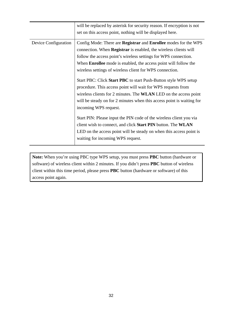|                      | will be replaced by asterisk for security reason. If encryption is not<br>set on this access point, nothing will be displayed here.                                                                                                                                                                                                                                                                                                                                                                                                                                                                                                                                                                                                                                                                                                                                                                                                  |
|----------------------|--------------------------------------------------------------------------------------------------------------------------------------------------------------------------------------------------------------------------------------------------------------------------------------------------------------------------------------------------------------------------------------------------------------------------------------------------------------------------------------------------------------------------------------------------------------------------------------------------------------------------------------------------------------------------------------------------------------------------------------------------------------------------------------------------------------------------------------------------------------------------------------------------------------------------------------|
| Device Configuration | Config Mode: There are <b>Registrar</b> and <b>Enrollee</b> modes for the WPS<br>connection. When <b>Registrar</b> is enabled, the wireless clients will<br>follow the access point's wireless settings for WPS connection.<br>When <b>Enrollee</b> mode is enabled, the access point will follow the<br>wireless settings of wireless client for WPS connection.<br>Start PBC: Click Start PBC to start Push-Button style WPS setup<br>procedure. This access point will wait for WPS requests from<br>wireless clients for 2 minutes. The <b>WLAN</b> LED on the access point<br>will be steady on for 2 minutes when this access point is waiting for<br>incoming WPS request.<br>Start PIN: Please input the PIN code of the wireless client you via<br>client wish to connect, and click Start PIN button. The WLAN<br>LED on the access point will be steady on when this access point is<br>waiting for incoming WPS request. |

**Note:** When you're using PBC type WPS setup, you must press **PBC** button (hardware or software) of wireless client within 2 minutes. If you didn't press **PBC** button of wireless client within this time period, please press **PBC** button (hardware or software) of this access point again.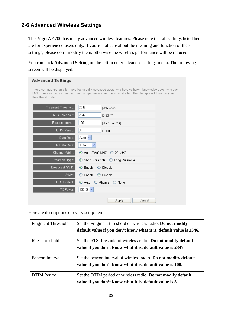#### **2-6 Advanced Wireless Settings**

This VigorAP 700 has many advanced wireless features. Please note that all settings listed here are for experienced users only. If you're not sure about the meaning and function of these settings, please don't modify them, otherwise the wireless performance will be reduced.

You can click **Advanced Setting** on the left to enter advanced settings menu. The following screen will be displayed:

| <b>Advanced Settings</b> |                                                                                                                                                                                                                  |
|--------------------------|------------------------------------------------------------------------------------------------------------------------------------------------------------------------------------------------------------------|
| Broadband router.        | These settings are only for more technically advanced users who have sufficient knowledge about wireless.<br>LAN. These settings should not be changed unless you know what effect the changes will have on your |
| Fragment Threshold:      | 2346<br>$(256-2346)$                                                                                                                                                                                             |
| RTS Threshold:           | 2347<br>$(0-2347)$                                                                                                                                                                                               |
| Beacon Interval:         | 100<br>(20-1024 ms)                                                                                                                                                                                              |
| DTIM Period:             | 3<br>$(1-10)$                                                                                                                                                                                                    |
| Data Rate:               | Auto Y                                                                                                                                                                                                           |
| N Data Rate:             | v<br>Auto                                                                                                                                                                                                        |
| Channel Width:           | ⊙ Auto 20/40 MHZ ○ 20 MHZ                                                                                                                                                                                        |
| Preamble Type:           | Short Preamble C Long Preamble                                                                                                                                                                                   |
| Broadcast SSID:          | $\odot$ Enable<br>$\bigcirc$ Disable                                                                                                                                                                             |
| WMM:                     | $\bigcirc$ Enable<br>⊙ Disable                                                                                                                                                                                   |
| CTS Protect:             | ⊙ Auto O Always O None                                                                                                                                                                                           |
| TX Power:                | 100 % $\sim$                                                                                                                                                                                                     |
|                          | Cancel<br>Apply                                                                                                                                                                                                  |

| <b>Fragment Threshold</b> | Set the Fragment threshold of wireless radio. Do not modify<br>default value if you don't know what it is, default value is 2346. |
|---------------------------|-----------------------------------------------------------------------------------------------------------------------------------|
| <b>RTS</b> Threshold      | Set the RTS threshold of wireless radio. Do not modify default<br>value if you don't know what it is, default value is 2347.      |
| Beacon Interval           | Set the beacon interval of wireless radio. Do not modify default<br>value if you don't know what it is, default value is 100.     |
| <b>DTIM Period</b>        | Set the DTIM period of wireless radio. Do not modify default<br>value if you don't know what it is, default value is 3.           |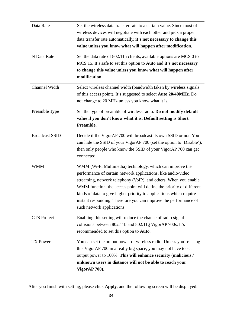| Data Rate             | Set the wireless data transfer rate to a certain value. Since most of |
|-----------------------|-----------------------------------------------------------------------|
|                       | wireless devices will negotiate with each other and pick a proper     |
|                       | data transfer rate automatically, it's not necessary to change this   |
|                       | value unless you know what will happen after modification.            |
| N Data Rate           | Set the data rate of 802.11n clients, available options are MCS 0 to  |
|                       | MCS 15. It's safe to set this option to Auto and it's not necessary   |
|                       | to change this value unless you know what will happen after           |
|                       | modification.                                                         |
| Channel Width         | Select wireless channel width (bandwidth taken by wireless signals    |
|                       | of this access point). It's suggested to select Auto 20/40MHz. Do     |
|                       | not change to 20 MHz unless you know what it is.                      |
| Preamble Type         | Set the type of preamble of wireless radio. Do not modify default     |
|                       | value if you don't know what it is. Default setting is Short          |
|                       | Preamble.                                                             |
| <b>Broadcast SSID</b> | Decide if the VigorAP 700 will broadcast its own SSID or not. You     |
|                       | can hide the SSID of your VigorAP 700 (set the option to 'Disable'),  |
|                       | then only people who know the SSID of your VigorAP 700 can get        |
|                       | connected.                                                            |
| <b>WMM</b>            | WMM (Wi-Fi Multimedia) technology, which can improve the              |
|                       | performance of certain network applications, like audio/video         |
|                       | streaming, network telephony (VoIP), and others. When you enable      |
|                       | WMM function, the access point will define the priority of different  |
|                       | kinds of data to give higher priority to applications which require   |
|                       | instant responding. Therefore you can improve the performance of      |
|                       | such network applications.                                            |
| <b>CTS</b> Protect    | Enabling this setting will reduce the chance of radio signal          |
|                       | collisions between 802.11b and 802.11g VigorAP 700s. It's             |
|                       | recommended to set this option to Auto.                               |
|                       |                                                                       |
| <b>TX Power</b>       | You can set the output power of wireless radio. Unless you're using   |
|                       | this VigorAP 700 in a really big space, you may not have to set       |
|                       | output power to 100%. This will enhance security (malicious /         |
|                       | unknown users in distance will not be able to reach your              |
|                       | VigorAP 700).                                                         |
|                       |                                                                       |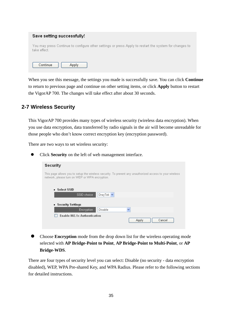#### Save setting successfully!

You may press Continue to configure other settings or press Apply to restart the system for changes to take effect.

| Continue : |  |
|------------|--|
|------------|--|

When you see this message, the settings you made is successfully save. You can click **Continue** to return to previous page and continue on other setting items, or click **Apply** button to restart the VigorAP 700. The changes will take effect after about 30 seconds.

#### **2-7 Wireless Security**

This VigorAP 700 provides many types of wireless security (wireless data encryption). When you use data encryption, data transferred by radio signals in the air will become unreadable for those people who don't know correct encryption key (encryption password).

There are two ways to set wireless security:

Click **Security** on the left of web management interface.

| <b>Security</b>                                                                                                                                            |
|------------------------------------------------------------------------------------------------------------------------------------------------------------|
| This page allows you to setup the wireless security. To prevent any unauthorized access to your wireless<br>network, please turn on WEP or WPA encryption. |
| $\bullet$ Select SSID<br>$DrawTek \nightharpoonup$<br>SSID choice:                                                                                         |
| • Security Settings                                                                                                                                        |
| Encryption :<br>Disable<br>$\checkmark$                                                                                                                    |
| Enable 802.1x Authentication<br>Cancel<br>Apply                                                                                                            |

z Choose **Encryption** mode from the drop down list for the wireless operating mode selected with **AP Bridge-Point to Point**, **AP Bridge-Point to Multi-Point**, or **AP Bridge-WDS**.

There are four types of security level you can select: Disable (no security - data encryption disabled), WEP, WPA Pre-shared Key, and WPA Radius. Please refer to the following sections for detailed instructions.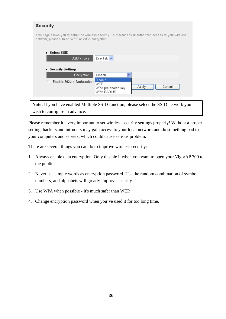#### Security This page allows you to setup the wireless security. To prevent any unauthorized access to your wireless network, please turn on WEP or WPA encryption. • Select SSID SSID choice: DrayTek V • Security Settings Encryption: Disable Enable 802.1x Authenticati Disable WEP Cancel Apply WPA pre-shared key WPA RADIUS

**Note:** If you have enabled Multiple SSID function, please select the SSID network you wish to configure in advance.

Please remember it's very important to set wireless security settings properly! Without a proper setting, hackers and intruders may gain access to your local network and do something bad to your computers and servers, which could cause serious problem.

There are several things you can do to improve wireless security:

- 1. Always enable data encryption. Only disable it when you want to open your VigorAP 700 to the public.
- 2. Never use simple words as encryption password. Use the random combination of symbols, numbers, and alphabets will greatly improve security.
- 3. Use WPA when possible it's much safer than WEP.
- 4. Change encryption password when you've used it for too long time.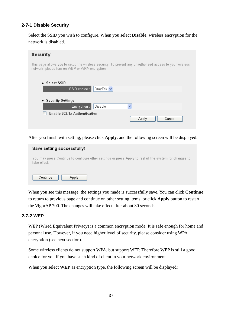#### **2-7-1 Disable Security**

Select the SSID you wish to configure. When you select **Disable**, wireless encryption for the network is disabled.

| <b>Security</b>                                                                                                                                            |
|------------------------------------------------------------------------------------------------------------------------------------------------------------|
| This page allows you to setup the wireless security. To prevent any unauthorized access to your wireless<br>network, please turn on WEP or WPA encryption. |
| $\bullet$ Select SSID.<br>$DrawTek \nightharpoonup$<br>SSID choice :<br>• Security Settings                                                                |
| Encryption:<br>Disable                                                                                                                                     |
| Enable 802.1x Authentication<br>Cancel<br>Apply                                                                                                            |

After you finish with setting, please click **Apply**, and the following screen will be displayed:

| Save setting successfully!                                                                                             |
|------------------------------------------------------------------------------------------------------------------------|
| You may press Continue to configure other settings or press Apply to restart the system for changes to<br>take effect. |
| Continue<br>Apply                                                                                                      |

When you see this message, the settings you made is successfully save. You can click **Continue** to return to previous page and continue on other setting items, or click **Apply** button to restart the VigorAP 700. The changes will take effect after about 30 seconds.

#### **2-7-2 WEP**

WEP (Wired Equivalent Privacy) is a common encryption mode. It is safe enough for home and personal use. However, if you need higher level of security, please consider using WPA encryption (see next section).

Some wireless clients do not support WPA, but support WEP. Therefore WEP is still a good choice for you if you have such kind of client in your network environment.

When you select **WEP** as encryption type, the following screen will be displayed: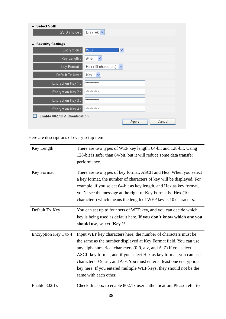| <b>Select SSID</b>           |                               |
|------------------------------|-------------------------------|
| SSID choice :                | DrayTek $\blacktriangleright$ |
| <b>Security Settings</b>     |                               |
| Encryption:                  | WEP<br>×                      |
| Key Length:                  | 64-bit<br>×                   |
| Key Format:                  | Hex (10 characters) $\vee$    |
| Default Tx Key :             | Key $1 - 4$                   |
| Encryption Key 1:            | **********                    |
| Encryption Key 2:            | **********                    |
| Encryption Key 3:            | **********                    |
| Encryption Key 4 :           | **********                    |
| Enable 802.1x Authentication | Cancel<br>Apply               |

| Key Length            | There are two types of WEP key length: 64-bit and 128-bit. Using                                                                                                                                                                                                                                                                                                                                                                                     |
|-----------------------|------------------------------------------------------------------------------------------------------------------------------------------------------------------------------------------------------------------------------------------------------------------------------------------------------------------------------------------------------------------------------------------------------------------------------------------------------|
|                       | 128-bit is safer than 64-bit, but it will reduce some data transfer                                                                                                                                                                                                                                                                                                                                                                                  |
|                       | performance.                                                                                                                                                                                                                                                                                                                                                                                                                                         |
| Key Format            | There are two types of key format: ASCII and Hex. When you select<br>a key format, the number of characters of key will be displayed. For<br>example, if you select 64-bit as key length, and Hex as key format,<br>you'll see the message at the right of Key Format is 'Hex (10)                                                                                                                                                                   |
|                       | characters) which means the length of WEP key is 10 characters.                                                                                                                                                                                                                                                                                                                                                                                      |
| Default Tx Key        | You can set up to four sets of WEP key, and you can decide which<br>key is being used as default here. If you don't know which one you<br>should use, select 'Key 1'.                                                                                                                                                                                                                                                                                |
| Encryption Key 1 to 4 | Input WEP key characters here, the number of characters must be<br>the same as the number displayed at Key Format field. You can use<br>any alphanumerical characters (0-9, a-z, and A-Z) if you select<br>ASCII key format, and if you select Hex as key format, you can use<br>characters 0-9, a-f, and A-F. You must enter at least one encryption<br>key here. If you entered multiple WEP keys, they should not be the<br>same with each other. |
| Enable 802.1x         | Check this box to enable 802.1x user authentication. Please refer to                                                                                                                                                                                                                                                                                                                                                                                 |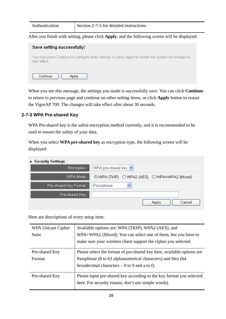| Authentication | Section 2-7-5 for detailed instructions. |
|----------------|------------------------------------------|
|----------------|------------------------------------------|

| Save setting successfully!                                                                                             |
|------------------------------------------------------------------------------------------------------------------------|
| You may press Continue to configure other settings or press Apply to restart the system for changes to<br>take effect. |
| Continue<br>Apply                                                                                                      |

When you see this message, the settings you made is successfully save. You can click **Continue** to return to previous page and continue on other setting items, or click **Apply** button to restart the VigorAP 700. The changes will take effect after about 30 seconds.

#### **2-7-3 WPA Pre-shared Key**

WPA Pre-shared key is the safest encryption method currently, and it is recommended to be used to ensure the safety of your data.

When you select **WPA pre-shared key** as encryption type, the following screen will be displayed:

| • Security Settings       |                                             |
|---------------------------|---------------------------------------------|
| Encryption:               | WPA pre-shared key $\vert \mathbf{v} \vert$ |
| WPA Mode:                 | ⊙WPA (TKIP) OWPA2 (AES) OWPA+WPA2 (Mixed)   |
| Pre-shared Key Format : ' | Passphrase                                  |
| Pre-shared Key :          |                                             |
|                           | Cancel<br>Apply                             |

| <b>WPA Unicast Cipher</b> | Available options are: WPA (TKIP), WPA2 (AES), and                                                                               |
|---------------------------|----------------------------------------------------------------------------------------------------------------------------------|
| Suite                     | WPA+WPA2 (Mixed). You can select one of them, but you have to<br>make sure your wireless client support the cipher you selected. |
|                           |                                                                                                                                  |
| Pre-shared Key            | Please select the format of pre-shared key here, available options are                                                           |
| Format                    | Passphrase (8 to 63 alphanumerical characters) and Hex (64                                                                       |
|                           | hexadecimal characters $-0$ to 9 and a to f).                                                                                    |
| Pre-shared Key            | Please input pre-shared key according to the key format you selected                                                             |
|                           | here. For security reason, don't use simple words).                                                                              |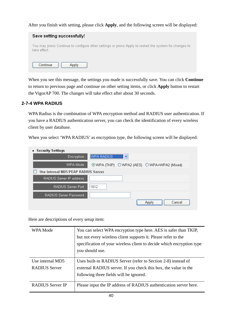| Save setting successfully!                                                                                             |
|------------------------------------------------------------------------------------------------------------------------|
| You may press Continue to configure other settings or press Apply to restart the system for changes to<br>take effect. |
| Continue<br>Apply                                                                                                      |

When you see this message, the settings you made is successfully save. You can click **Continue** to return to previous page and continue on other setting items, or click **Apply** button to restart the VigorAP 700. The changes will take effect after about 30 seconds.

#### **2-7-4 WPA RADIUS**

WPA Radius is the combination of WPA encryption method and RADIUS user authentication. If you have a RADIUS authentication server, you can check the identification of every wireless client by user database.

When you select 'WPA RADIUS' as encryption type, the following screen will be displayed:

| • Security Settings                 |                   |   |                                           |        |
|-------------------------------------|-------------------|---|-------------------------------------------|--------|
| Encryption:                         | <b>WPA RADIUS</b> | v |                                           |        |
| WPA Mode:                           |                   |   | ⊙WPA (TKIP) OWPA2 (AES) OWPA+WPA2 (Mixed) |        |
| Use internal MD5/PEAP RADIUS Server |                   |   |                                           |        |
| RADIUS Server IP address :          |                   |   |                                           |        |
| RADIUS Server Port:                 | 1812              |   |                                           |        |
| RADIUS Server Password :            |                   |   |                                           |        |
|                                     |                   |   | Apply                                     | Cancel |

| <b>WPA Mode</b>                          | You can select WPA encryption type here. AES is safer than TKIP,<br>but not every wireless client supports it. Please refer to the<br>specification of your wireless client to decide which encryption type<br>you should use. |
|------------------------------------------|--------------------------------------------------------------------------------------------------------------------------------------------------------------------------------------------------------------------------------|
| Use internal MD5<br><b>RADIUS</b> Server | Uses built-in RADIUS Server (refer to Section 2-8) instead of<br>external RADIUS server. If you check this box, the value in the<br>following three fields will be ignored.                                                    |
| <b>RADIUS Server IP</b>                  | Please input the IP address of RADIUS authentication server here.                                                                                                                                                              |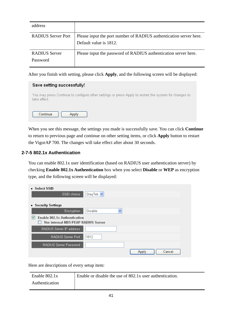| address                          |                                                                                              |
|----------------------------------|----------------------------------------------------------------------------------------------|
| <b>RADIUS Server Port</b>        | Please input the port number of RADIUS authentication server here.<br>Default value is 1812. |
| <b>RADIUS Server</b><br>Password | Please input the password of RADIUS authentication server here.                              |

| Save setting successfully!                                                                                             |
|------------------------------------------------------------------------------------------------------------------------|
| You may press Continue to configure other settings or press Apply to restart the system for changes to<br>take effect. |
| Continue<br>Apply                                                                                                      |

When you see this message, the settings you made is successfully save. You can click **Continue** to return to previous page and continue on other setting items, or click **Apply** button to restart the VigorAP 700. The changes will take effect after about 30 seconds.

#### **2-7-5 802.1x Authentication**

You can enable 802.1x user identification (based on RADIUS user authentication server) by checking **Enable 802.1x Authentication** box when you select **Disable** or **WEP** as encryption type, and the following screen will be displayed:

| • Select SSID                                                                   |                 |
|---------------------------------------------------------------------------------|-----------------|
| SSID choice :                                                                   | DrayTek V       |
| • Security Settings                                                             |                 |
| Encryption:                                                                     | v<br>Disable    |
| <b>Enable 802.1x Authentication</b><br>M<br>Use internal MD5/PEAP RADIUS Server |                 |
| RADIUS Server IP address :                                                      |                 |
| RADIUS Server Port :                                                            | 1812            |
| RADIUS Server Password :                                                        |                 |
|                                                                                 | Cancel<br>Apply |

| Enable $802.1x$       | Enable or disable the use of 802.1x user authentication. |
|-----------------------|----------------------------------------------------------|
| <b>Authentication</b> |                                                          |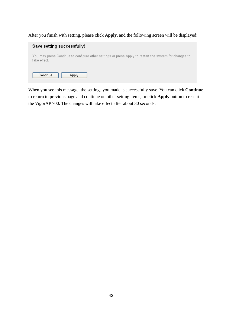| Save setting successfully!                                                                                             |
|------------------------------------------------------------------------------------------------------------------------|
| You may press Continue to configure other settings or press Apply to restart the system for changes to<br>take effect. |
| Continue<br>Apply                                                                                                      |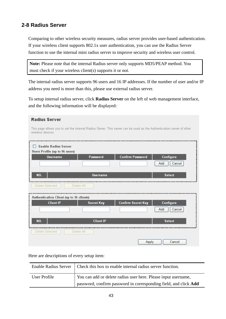#### **2-8 Radius Server**

Comparing to other wireless security measures, radius server provides user-based authentication. If your wireless client supports 802.1x user authentication, you can use the Radius Server function to use the internal mini radius server to improve security and wireless user control.

| <b>Note:</b> Please note that the internal Radius server only supports MD5/PEAP method. You |
|---------------------------------------------------------------------------------------------|
| must check if your wireless client(s) supports it or not.                                   |

The internal radius server supports 96 users and 16 IP addresses. If the number of user and/or IP address you need is more than this, please use external radius server.

To setup internal radius server, click **Radius Server** on the left of web management interface, and the following information will be displayed:

| <b>Radius Server</b>                                                                                                                       |                            |
|--------------------------------------------------------------------------------------------------------------------------------------------|----------------------------|
| This page allows you to set the internal Radius Server. This server can be used as the Authentication server of other<br>wireless devices. |                            |
| <b>Enable Radius Server</b><br>п<br>Users Profile (up to 96 users)                                                                         |                            |
| <b>Confirm Password</b><br>Password<br><b>Username</b>                                                                                     | Configure<br>Cancel<br>Add |
| NO.<br><b>Username</b>                                                                                                                     | <b>Select</b>              |
| Delete Selected<br>Delete All                                                                                                              |                            |
| Authentication Client (up to 16 clients)                                                                                                   |                            |
| <b>Client IP</b><br><b>Confirm Secret Key</b><br><b>Secret Key</b>                                                                         | Configure<br>Cancel<br>Add |
| i<br>NO.<br><b>Client IP</b>                                                                                                               | <b>Select</b>              |
| Delete Selected<br>Delete All                                                                                                              |                            |
|                                                                                                                                            | Cancel<br>Apply            |

| <b>Enable Radius Server</b> | Check this box to enable internal radius server function.        |
|-----------------------------|------------------------------------------------------------------|
| User Profile                | You can add or delete radius user here. Please input username,   |
|                             | password, confirm password in corresponding field, and click Add |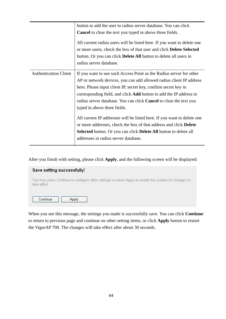|                              | button to add the user to radius server database. You can click<br><b>Cancel</b> to clear the text you typed in above three fields.<br>All current radius users will be listed here. If you want to delete one<br>or more users, check the box of that user and click Delete Selected<br>button. Or you can click <b>Delete All</b> button to delete all users in<br>radius server database.                                                                                                                                                                                                                                                                                       |
|------------------------------|------------------------------------------------------------------------------------------------------------------------------------------------------------------------------------------------------------------------------------------------------------------------------------------------------------------------------------------------------------------------------------------------------------------------------------------------------------------------------------------------------------------------------------------------------------------------------------------------------------------------------------------------------------------------------------|
| <b>Authentication Client</b> | If you want to use such Access Point as the Radius server for other<br>AP or network devices, you can add allowed radius client IP address<br>here. Please input client IP, secret key, confirm secret key in<br>corresponding field, and click <b>Add</b> button to add the IP address to<br>radius server database. You can click <b>Cancel</b> to clear the text you<br>typed in above three fields.<br>All current IP addresses will be listed here. If you want to delete one<br>or more addresses, check the box of that address and click Delete<br><b>Selected</b> button. Or you can click <b>Delete All</b> button to delete all<br>addresses in radius server database. |

| Save setting successfully!                                                                                             |
|------------------------------------------------------------------------------------------------------------------------|
| You may press Continue to configure other settings or press Apply to restart the system for changes to<br>take effect. |
| Continue<br>Apply                                                                                                      |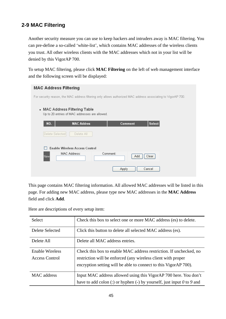#### **2-9 MAC Filtering**

Another security measure you can use to keep hackers and intruders away is MAC filtering. You can pre-define a so-called 'white-list', which contains MAC addresses of the wireless clients you trust. All other wireless clients with the MAC addresses which not in your list will be denied by this VigorAP 700.

To setup MAC filtering, please click **MAC Filtering** on the left of web management interface and the following screen will be displayed:

| <b>MAC Address Filtering</b>                                                                                  |  |
|---------------------------------------------------------------------------------------------------------------|--|
| For security reason, the MAC address filtering only allows authorized MAC address associating to VigorAP 700. |  |
| • MAC Address Filtering Table<br>Up to 20 entries of MAC addresses are allowed.                               |  |
| <b>Select</b><br><b>MAC Addres</b><br>NO.<br>Comment                                                          |  |
| Delete Selected<br>Delete All                                                                                 |  |
| <b>Enable Wireless Access Control</b>                                                                         |  |
| MAC Address:<br>Comment:<br>Add<br>Clear<br>New                                                               |  |
| Cancel<br><b>Apply</b>                                                                                        |  |

This page contains MAC filtering information. All allowed MAC addresses will be listed in this page. For adding new MAC address, please type new MAC addresses in the **MAC Address** field and click **Add**.

| Select                 | Check this box to select one or more MAC address (es) to delete.                     |
|------------------------|--------------------------------------------------------------------------------------|
| Delete Selected        | Click this button to delete all selected MAC address (es).                           |
| Delete All             | Delete all MAC address entries.                                                      |
| <b>Enable Wireless</b> | Check this box to enable MAC address restriction. If unchecked, no                   |
| Access Control         | restriction will be enforced (any wireless client with proper                        |
|                        | encryption setting will be able to connect to this VigorAP 700).                     |
| <b>MAC</b> address     | Input MAC address allowed using this VigorAP 700 here. You don't                     |
|                        | have to add colon (:) or hyphen (-) by yourself, just input $\theta$ to $\theta$ and |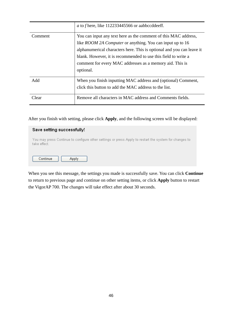|         | <i>a</i> to <i>f</i> here, like 112233445566 or aabbccddeeff.                                                                                                                                                                                                                                                                                           |
|---------|---------------------------------------------------------------------------------------------------------------------------------------------------------------------------------------------------------------------------------------------------------------------------------------------------------------------------------------------------------|
| Comment | You can input any text here as the comment of this MAC address,<br>like <i>ROOM 2A Computer</i> or anything. You can input up to 16<br>alphanumerical characters here. This is optional and you can leave it<br>blank. However, it is recommended to use this field to write a<br>comment for every MAC addresses as a memory aid. This is<br>optional. |
| Add     | When you finish inputting MAC address and (optional) Comment,<br>click this button to add the MAC address to the list.                                                                                                                                                                                                                                  |
| Clear   | Remove all characters in MAC address and Comments fields.                                                                                                                                                                                                                                                                                               |

| Save setting successfully!                                                                                             |
|------------------------------------------------------------------------------------------------------------------------|
| You may press Continue to configure other settings or press Apply to restart the system for changes to<br>take effect. |
| Continue<br>Apply                                                                                                      |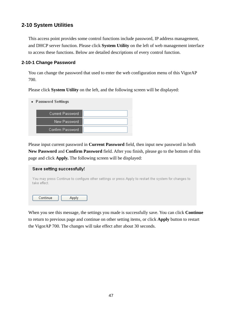#### **2-10 System Utilities**

This access point provides some control functions include password, IP address management, and DHCP server function. Please click **System Utility** on the left of web management interface to access these functions. Below are detailed descriptions of every control function.

#### **2-10-1 Change Password**

You can change the password that used to enter the web configuration menu of this VigorAP 700.

Please click **System Utility** on the left, and the following screen will be displayed:

| • Password Settings |  |
|---------------------|--|
| Current Password :  |  |
| New Password :      |  |
| Confirm Password :  |  |

Please input current password in **Current Password** field, then input new password in both **New Password** and **Confirm Password** field. After you finish, please go to the bottom of this page and click **Apply.** The following screen will be displayed:

| Save setting successfully!                                                                                             |
|------------------------------------------------------------------------------------------------------------------------|
| You may press Continue to configure other settings or press Apply to restart the system for changes to<br>take effect. |
| Continue<br>Apply                                                                                                      |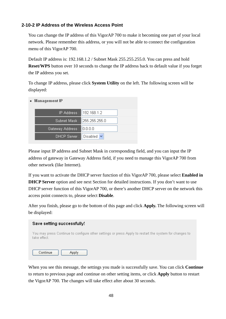#### **2-10-2 IP Address of the Wireless Access Point**

You can change the IP address of this VigorAP 700 to make it becoming one part of your local network. Please remember this address, or you will not be able to connect the configuration menu of this VigorAP 700.

Default IP address is: 192.168.1.2 / Subnet Mask 255.255.255.0. You can press and hold **Reset/WPS** button over 10 seconds to change the IP address back to default value if you forget the IP address you set.

To change IP address, please click **System Utility** on the left. The following screen will be displayed:

| • Management IP            |         |  |
|----------------------------|---------|--|
| IP Address : 192.168.1.2   |         |  |
| Subnet Mask: 255.255.255.0 |         |  |
| Gateway Address:           | 0.0.0.0 |  |
| DHCP Server : Disabled     |         |  |

Please input IP address and Subnet Mask in corresponding field, and you can input the IP address of gateway in Gateway Address field, if you need to manage this VigorAP 700 from other network (like Internet).

If you want to activate the DHCP server function of this VigorAP 700, please select **Enabled in DHCP Server** option and see next Section for detailed instructions. If you don't want to use DHCP server function of this VigorAP 700, or there's another DHCP server on the network this access point connects to, please select **Disable**.

After you finish, please go to the bottom of this page and click **Apply.** The following screen will be displayed:

| Save setting successfully!                                                                                             |
|------------------------------------------------------------------------------------------------------------------------|
| You may press Continue to configure other settings or press Apply to restart the system for changes to<br>take effect. |
| Continue<br>Apply.                                                                                                     |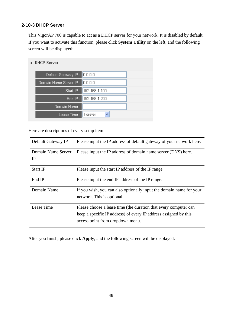#### **2-10-3 DHCP Server**

This VigorAP 700 is capable to act as a DHCP server for your network. It is disabled by default. If you want to activate this function, please click **System Utility** on the left, and the following screen will be displayed:

| • DHCP Server                   |                         |
|---------------------------------|-------------------------|
| Default Gateway IP : 0.0.0.0    |                         |
| Domain Name Server IP : 0.0.0.0 |                         |
|                                 | Start IP: 192.168.1.100 |
|                                 | End IP: 192.168.1.200   |
| Domain Name :                   |                         |
| Lease Time :                    | Forever                 |

Here are descriptions of every setup item:

| Default Gateway IP | Please input the IP address of default gateway of your network here. |
|--------------------|----------------------------------------------------------------------|
| Domain Name Server | Please input the IP address of domain name server (DNS) here.        |
| IP                 |                                                                      |
| <b>Start IP</b>    | Please input the start IP address of the IP range.                   |
| End IP             | Please input the end IP address of the IP range.                     |
| Domain Name        | If you wish, you can also optionally input the domain name for your  |
|                    | network. This is optional.                                           |
| Lease Time         | Please choose a lease time (the duration that every computer can     |
|                    | keep a specific IP address) of every IP address assigned by this     |
|                    | access point from dropdown menu.                                     |

After you finish, please click **Apply**, and the following screen will be displayed: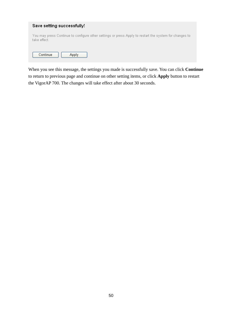| Save setting successfully!                                                                                             |
|------------------------------------------------------------------------------------------------------------------------|
| You may press Continue to configure other settings or press Apply to restart the system for changes to<br>take effect. |
| Continue<br>Apply                                                                                                      |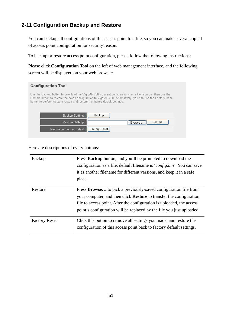#### **2-11 Configuration Backup and Restore**

You can backup all configurations of this access point to a file, so you can make several copied of access point configuration for security reason.

To backup or restore access point configuration, please follow the following instructions:

Please click **Configuration Tool** on the left of web management interface, and the following screen will be displayed on your web browser:

| <b>Configuration Tool</b>                                                  |                                                                                                                                                                                                                              |
|----------------------------------------------------------------------------|------------------------------------------------------------------------------------------------------------------------------------------------------------------------------------------------------------------------------|
| button to perform system restart and restore the factory default settings. | Use the Backup button to download the VigroAP 700's current configurations as a file. You can then use the<br>Restore button to restore the saved configuration to VigorAP 700. Alternatively, you can use the Factory Reset |
| <b>Backup Settings:</b>                                                    | Backup.                                                                                                                                                                                                                      |
| Restore Settings :                                                         | Restore<br>Browse                                                                                                                                                                                                            |
| Restore to Factory Default:                                                | Factory Reset                                                                                                                                                                                                                |
|                                                                            |                                                                                                                                                                                                                              |

Here are descriptions of every buttons:

| Backup               | Press Backup button, and you'll be prompted to download the<br>configuration as a file, default filename is 'config.bin'. You can save<br>it as another filename for different versions, and keep it in a safe<br>place.                                                                               |  |
|----------------------|--------------------------------------------------------------------------------------------------------------------------------------------------------------------------------------------------------------------------------------------------------------------------------------------------------|--|
| Restore              | Press <b>Browse</b> to pick a previously-saved configuration file from<br>your computer, and then click <b>Restore</b> to transfer the configuration<br>file to access point. After the configuration is uploaded, the access<br>point's configuration will be replaced by the file you just uploaded. |  |
| <b>Factory Reset</b> | Click this button to remove all settings you made, and restore the<br>configuration of this access point back to factory default settings.                                                                                                                                                             |  |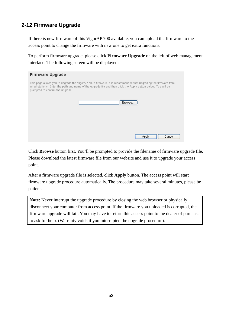#### **2-12 Firmware Upgrade**

If there is new firmware of this VigorAP 700 available, you can upload the firmware to the access point to change the firmware with new one to get extra functions.

To perform firmware upgrade, please click **Firmware Upgrade** on the left of web management interface. The following screen will be displayed:

| <b>Firmware Upgrade</b>                                                                                                                                                                                                                                              |  |  |  |
|----------------------------------------------------------------------------------------------------------------------------------------------------------------------------------------------------------------------------------------------------------------------|--|--|--|
| This page allows you to upgrade the VigorAP 700's firmware. It is recommended that upgrading the firmware from<br>wired stations. Enter the path and name of the upgrade file and then click the Apply button below. You will be<br>prompted to confirm the upgrade. |  |  |  |
| Browse                                                                                                                                                                                                                                                               |  |  |  |
|                                                                                                                                                                                                                                                                      |  |  |  |
| Cancel<br>Apply                                                                                                                                                                                                                                                      |  |  |  |

Click **Browse** button first. You'll be prompted to provide the filename of firmware upgrade file. Please download the latest firmware file from our website and use it to upgrade your access point.

After a firmware upgrade file is selected, click **Apply** button. The access point will start firmware upgrade procedure automatically. The procedure may take several minutes, please be patient.

**Note:** Never interrupt the upgrade procedure by closing the web browser or physically disconnect your computer from access point. If the firmware you uploaded is corrupted, the firmware upgrade will fail. You may have to return this access point to the dealer of purchase to ask for help. (Warranty voids if you interrupted the upgrade procedure).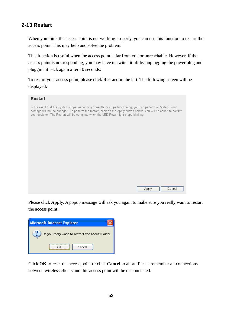#### **2-13 Restart**

When you think the access point is not working properly, you can use this function to restart the access point. This may help and solve the problem.

This function is useful when the access point is far from you or unreachable. However, if the access point is not responding, you may have to switch it off by unplugging the power plug and plugginh it back again after 10 seconds.

To restart your access point, please click **Restart** on the left. The following screen will be displayed:

#### **Restart**



Please click **Apply**. A popup message will ask you again to make sure you really want to restart the access point:

| <b>Microsoft Internet Explorer</b>              |  |  |  |
|-------------------------------------------------|--|--|--|
| Do you really want to restart the Access Point? |  |  |  |
| Cancel                                          |  |  |  |

Click **OK** to reset the access point or click **Cancel** to abort. Please remember all connections between wireless clients and this access point will be disconnected.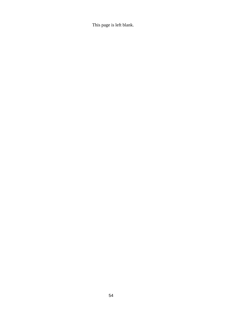This page is left blank.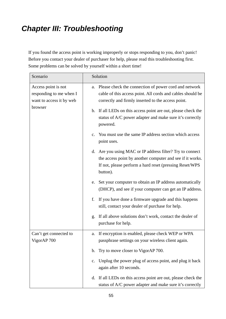## *Chapter III: Troubleshooting*

If you found the access point is working improperly or stops responding to you, don't panic! Before you contact your dealer of purchaser for help, please read this troubleshooting first. Some problems can be solved by yourself within a short time!

| Scenario                                                                   | Solution                                                                                                                                                                                      |  |  |
|----------------------------------------------------------------------------|-----------------------------------------------------------------------------------------------------------------------------------------------------------------------------------------------|--|--|
| Access point is not<br>responding to me when I<br>want to access it by web | Please check the connection of power cord and network<br>a.<br>cable of this access point. All cords and cables should be<br>correctly and firmly inserted to the access point.               |  |  |
| browser                                                                    | b. If all LEDs on this access point are out, please check the<br>status of A/C power adapter and make sure it's correctly<br>powered.                                                         |  |  |
|                                                                            | You must use the same IP address section which access<br>$C_{\bullet}$<br>point uses.                                                                                                         |  |  |
|                                                                            | d. Are you using MAC or IP address filter? Try to connect<br>the access point by another computer and see if it works.<br>If not, please perform a hard reset (pressing Reset/WPS<br>button). |  |  |
|                                                                            | Set your computer to obtain an IP address automatically<br>e.<br>(DHCP), and see if your computer can get an IP address.                                                                      |  |  |
|                                                                            | If you have done a firmware upgrade and this happens<br>f.<br>still, contact your dealer of purchase for help.                                                                                |  |  |
|                                                                            | If all above solutions don't work, contact the dealer of<br>g.<br>purchase for help.                                                                                                          |  |  |
| Can't get connected to<br>VigorAP 700                                      | If encryption is enabled, please check WEP or WPA<br>a.<br>passphrase settings on your wireless client again.                                                                                 |  |  |
|                                                                            | Try to move closer to VigorAP 700.<br>b.                                                                                                                                                      |  |  |
|                                                                            | Unplug the power plug of access point, and plug it back<br>$\mathbf{c}$ .<br>again after 10 seconds.                                                                                          |  |  |
|                                                                            | d. If all LEDs on this access point are out, please check the<br>status of A/C power adapter and make sure it's correctly                                                                     |  |  |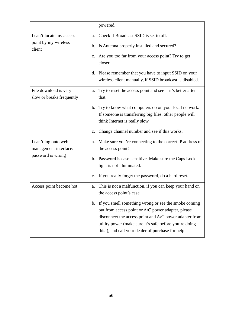|                                                    | powered.                                                                                                                                                                                                                                                                                |
|----------------------------------------------------|-----------------------------------------------------------------------------------------------------------------------------------------------------------------------------------------------------------------------------------------------------------------------------------------|
| I can't locate my access                           | Check if Broadcast SSID is set to off.<br>a.                                                                                                                                                                                                                                            |
| point by my wireless<br>client                     | b. Is Antenna properly installed and secured?                                                                                                                                                                                                                                           |
|                                                    | Are you too far from your access point? Try to get<br>$c_{\cdot}$<br>closer.                                                                                                                                                                                                            |
|                                                    | d. Please remember that you have to input SSID on your<br>wireless client manually, if SSID broadcast is disabled.                                                                                                                                                                      |
| File download is very<br>slow or breaks frequently | Try to reset the access point and see if it's better after<br>a.<br>that.                                                                                                                                                                                                               |
|                                                    | b. Try to know what computers do on your local network.<br>If someone is transferring big files, other people will<br>think Internet is really slow.                                                                                                                                    |
|                                                    | Change channel number and see if this works.<br>$c_{\cdot}$                                                                                                                                                                                                                             |
| I can't log onto web<br>management interface:      | Make sure you're connecting to the correct IP address of<br>a.<br>the access point!                                                                                                                                                                                                     |
| password is wrong                                  | b. Password is case-sensitive. Make sure the Caps Lock<br>light is not illuminated.                                                                                                                                                                                                     |
|                                                    | c. If you really forget the password, do a hard reset.                                                                                                                                                                                                                                  |
| Access point become hot                            | This is not a malfunction, if you can keep your hand on<br>a.<br>the access point's case.                                                                                                                                                                                               |
|                                                    | b. If you smell something wrong or see the smoke coming<br>out from access point or A/C power adapter, please<br>disconnect the access point and A/C power adapter from<br>utility power (make sure it's safe before you're doing<br>this!), and call your dealer of purchase for help. |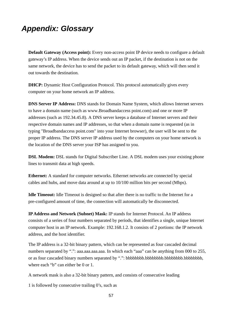## *Appendix: Glossary*

**Default Gateway (Access point):** Every non-access point IP device needs to configure a default gateway's IP address. When the device sends out an IP packet, if the destination is not on the same network, the device has to send the packet to its default gateway, which will then send it out towards the destination.

**DHCP:** Dynamic Host Configuration Protocol. This protocol automatically gives every computer on your home network an IP address.

**DNS Server IP Address:** DNS stands for Domain Name System, which allows Internet servers to have a domain name (such as www.Broadbandaccess point.com) and one or more IP addresses (such as 192.34.45.8). A DNS server keeps a database of Internet servers and their respective domain names and IP addresses, so that when a domain name is requested (as in typing "Broadbandaccess point.com" into your Internet browser), the user will be sent to the proper IP address. The DNS server IP address used by the computers on your home network is the location of the DNS server your ISP has assigned to you.

**DSL Modem:** DSL stands for Digital Subscriber Line. A DSL modem uses your existing phone lines to transmit data at high speeds.

**Ethernet:** A standard for computer networks. Ethernet networks are connected by special cables and hubs, and move data around at up to 10/100 million bits per second (Mbps).

**Idle Timeout:** Idle Timeout is designed so that after there is no traffic to the Internet for a pre-configured amount of time, the connection will automatically be disconnected.

**IP Address and Network (Subnet) Mask:** IP stands for Internet Protocol. An IP address consists of a series of four numbers separated by periods, that identifies a single, unique Internet computer host in an IP network. Example: 192.168.1.2. It consists of 2 portions: the IP network address, and the host identifier.

The IP address is a 32-bit binary pattern, which can be represented as four cascaded decimal numbers separated by ".": aaa.aaa.aaa.aaa. In which each "aaa" can be anything from 000 to 255, or as four cascaded binary numbers separated by ".": bbbbbbbb.bbbbbbbb.bbbbbbbb.bbbbbbbb, where each "b" can either be 0 or 1.

A network mask is also a 32-bit binary pattern, and consists of consecutive leading

1 is followed by consecutive trailing 0's, such as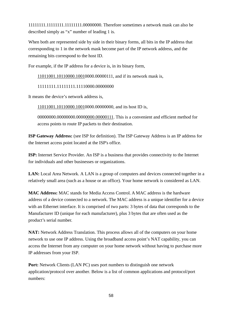11111111.11111111.11111111.00000000. Therefore sometimes a network mask can also be described simply as "x" number of leading 1 is.

When both are represented side by side in their binary forms, all bits in the IP address that corresponding to 1 in the network mask become part of the IP network address, and the remaining bits correspond to the host ID.

For example, if the IP address for a device is, in its binary form,

11011001.10110000.10010000.00000111, and if its network mask is,

11111111.11111111.11110000.00000000

It means the device's network address is,

11011001.10110000.10010000.00000000, and its host ID is,

00000000.00000000.00000000.00000111. This is a convenient and efficient method for access points to route IP packets to their destination.

**ISP Gateway Address:** (see ISP for definition). The ISP Gateway Address is an IP address for the Internet access point located at the ISP's office.

**ISP:** Internet Service Provider. An ISP is a business that provides connectivity to the Internet for individuals and other businesses or organizations.

LAN: Local Area Network. A LAN is a group of computers and devices connected together in a relatively small area (such as a house or an office). Your home network is considered as LAN.

**MAC Address:** MAC stands for Media Access Control. A MAC address is the hardware address of a device connected to a network. The MAC address is a unique identifier for a device with an Ethernet interface. It is comprised of two parts: 3 bytes of data that corresponds to the Manufacturer ID (unique for each manufacturer), plus 3 bytes that are often used as the product's serial number.

**NAT:** Network Address Translation. This process allows all of the computers on your home network to use one IP address. Using the broadband access point's NAT capability, you can access the Internet from any computer on your home network without having to purchase more IP addresses from your ISP.

**Port:** Network Clients (LAN PC) uses port numbers to distinguish one network application/protocol over another. Below is a list of common applications and protocol/port numbers: